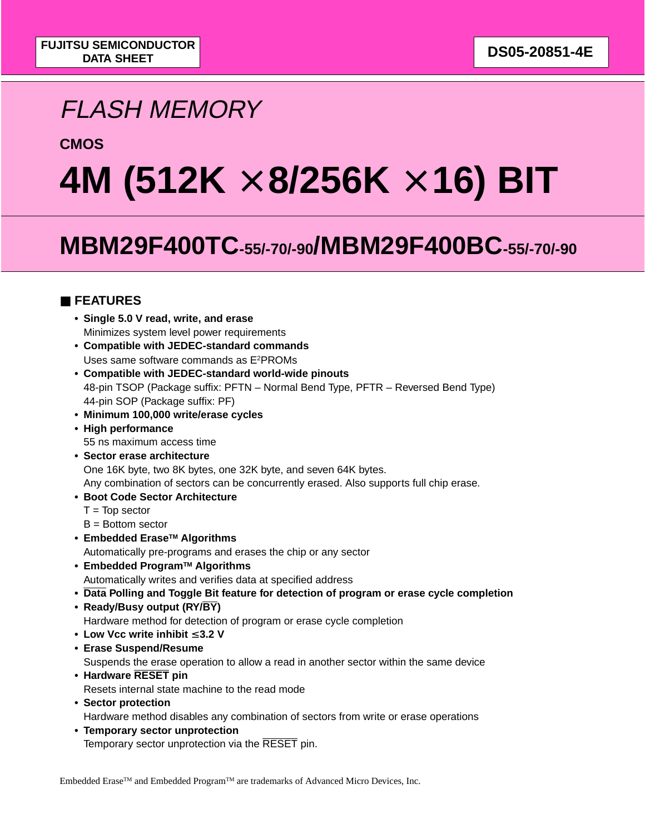# FLASH MEMORY

### **CMOS**

# **4M (512K** × **8/256K** × **16) BIT**

# **MBM29F400TC-55/-70/-90/MBM29F400BC-55/-70/-90**

### ■ **FEATURES**

- **Single 5.0 V read, write, and erase** Minimizes system level power requirements
- **Compatible with JEDEC-standard commands** Uses same software commands as E2PROMs
- **Compatible with JEDEC-standard world-wide pinouts** 48-pin TSOP (Package suffix: PFTN – Normal Bend Type, PFTR – Reversed Bend Type) 44-pin SOP (Package suffix: PF)
- **Minimum 100,000 write/erase cycles**
- **High performance** 55 ns maximum access time
- **Sector erase architecture** One 16K byte, two 8K bytes, one 32K byte, and seven 64K bytes. Any combination of sectors can be concurrently erased. Also supports full chip erase.
- **Boot Code Sector Architecture**
	- $T = Top sector$
	- $B =$  Bottom sector
- **Embedded EraseTM Algorithms**

Automatically pre-programs and erases the chip or any sector

- **Embedded ProgramTM Algorithms** Automatically writes and verifies data at specified address
- **Data Polling and Toggle Bit feature for detection of program or erase cycle completion**
- **Ready/Busy output (RY/BY)** Hardware method for detection of program or erase cycle completion
- **Low Vcc write inhibit** ≤ **3.2 V**
- **Erase Suspend/Resume**

Suspends the erase operation to allow a read in another sector within the same device

- **Hardware RESET pin** Resets internal state machine to the read mode
- **Sector protection** Hardware method disables any combination of sectors from write or erase operations
- **Temporary sector unprotection** Temporary sector unprotection via the RESET pin.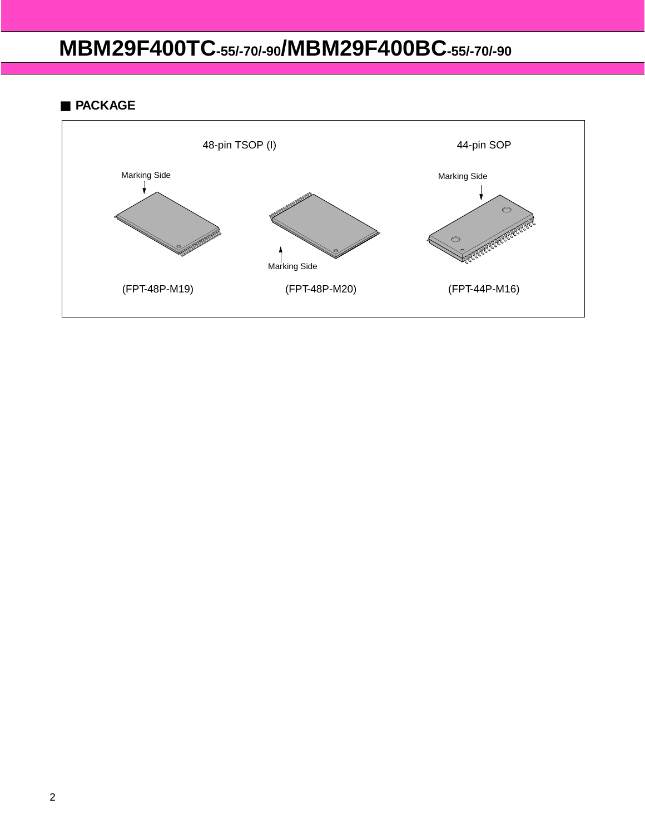### ■ **PACKAGE**

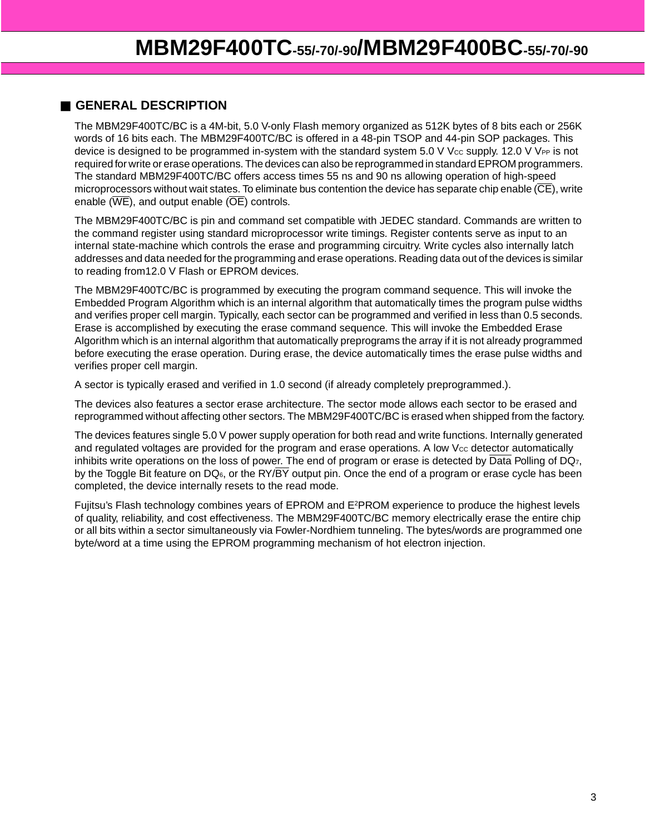### ■ **GENERAL DESCRIPTION**

The MBM29F400TC/BC is a 4M-bit, 5.0 V-only Flash memory organized as 512K bytes of 8 bits each or 256K words of 16 bits each. The MBM29F400TC/BC is offered in a 48-pin TSOP and 44-pin SOP packages. This device is designed to be programmed in-system with the standard system 5.0 V Vcc supply. 12.0 V VPP is not required for write or erase operations. The devices can also be reprogrammed in standard EPROM programmers. The standard MBM29F400TC/BC offers access times 55 ns and 90 ns allowing operation of high-speed microprocessors without wait states. To eliminate bus contention the device has separate chip enable (CE), write enable ( $\overline{\text{WE}}$ ), and output enable ( $\overline{\text{OE}}$ ) controls.

The MBM29F400TC/BC is pin and command set compatible with JEDEC standard. Commands are written to the command register using standard microprocessor write timings. Register contents serve as input to an internal state-machine which controls the erase and programming circuitry. Write cycles also internally latch addresses and data needed for the programming and erase operations. Reading data out of the devices is similar to reading from12.0 V Flash or EPROM devices.

The MBM29F400TC/BC is programmed by executing the program command sequence. This will invoke the Embedded Program Algorithm which is an internal algorithm that automatically times the program pulse widths and verifies proper cell margin. Typically, each sector can be programmed and verified in less than 0.5 seconds. Erase is accomplished by executing the erase command sequence. This will invoke the Embedded Erase Algorithm which is an internal algorithm that automatically preprograms the array if it is not already programmed before executing the erase operation. During erase, the device automatically times the erase pulse widths and verifies proper cell margin.

A sector is typically erased and verified in 1.0 second (if already completely preprogrammed.).

The devices also features a sector erase architecture. The sector mode allows each sector to be erased and reprogrammed without affecting other sectors. The MBM29F400TC/BC is erased when shipped from the factory.

The devices features single 5.0 V power supply operation for both read and write functions. Internally generated and regulated voltages are provided for the program and erase operations. A low  $V_{\text{CC}}$  detector automatically inhibits write operations on the loss of power. The end of program or erase is detected by  $\overline{Data}$  Polling of DQ $_7$ , by the Toggle Bit feature on  $DQ_6$ , or the RY/ $\overline{BY}$  output pin. Once the end of a program or erase cycle has been completed, the device internally resets to the read mode.

Fujitsu's Flash technology combines years of EPROM and E2PROM experience to produce the highest levels of quality, reliability, and cost effectiveness. The MBM29F400TC/BC memory electrically erase the entire chip or all bits within a sector simultaneously via Fowler-Nordhiem tunneling. The bytes/words are programmed one byte/word at a time using the EPROM programming mechanism of hot electron injection.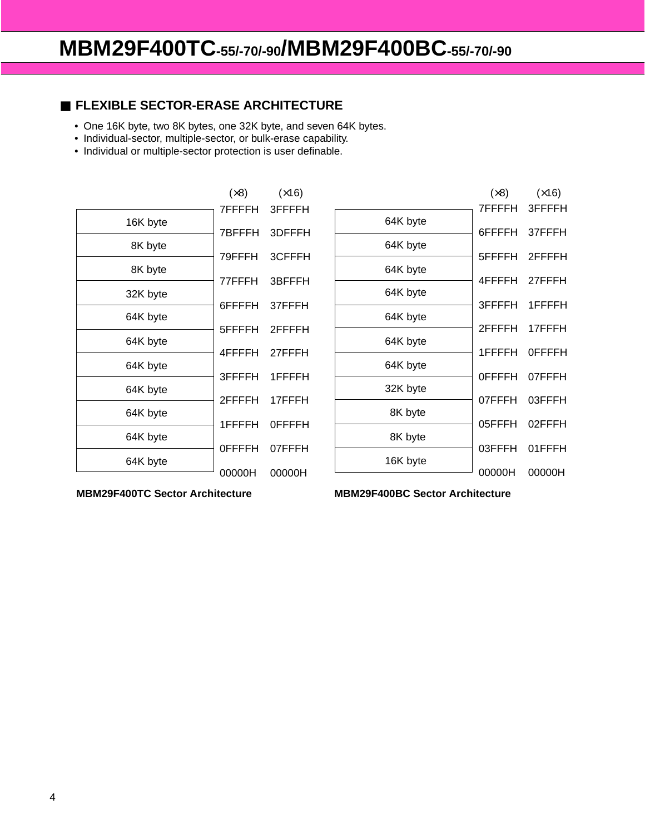### ■ **FLEXIBLE SECTOR-ERASE ARCHITECTURE**

- One 16K byte, two 8K bytes, one 32K byte, and seven 64K bytes.
- Individual-sector, multiple-sector, or bulk-erase capability.
- Individual or multiple-sector protection is user definable.

|          | (x8)          | (x16)         |
|----------|---------------|---------------|
|          | 7FFFFH        | 3FFFFH        |
| 16K byte | 7BFFFH        | 3DFFFH        |
| 8K byte  | 79FFFH        | 3CFFFH        |
| 8K byte  | 77FFFH        | 3BFFFH        |
| 32K byte |               |               |
| 64K byte | 6FFFFH        | 37FFFH        |
|          | 5FFFFH        | 2FFFFH        |
| 64K byte | 4FFFFH        | 27FFFH        |
| 64K byte | 3FFFFH        | 1FFFFH        |
| 64K byte |               |               |
| 64K byte | 2FFFFH        | 17FFFH        |
|          | 1FFFFH        | <b>OFFFFH</b> |
| 64K byte | <b>OFFFFH</b> | 07FFFH        |
| 64K byte | 00000H        | 00000H        |
|          |               |               |

|          | $(\times 8)$<br>7FFFFH I | (x16)<br>3FFFFH |
|----------|--------------------------|-----------------|
| 64K byte |                          |                 |
| 64K byte | 6FFFFH                   | 37FFFH          |
| 64K byte | 5FFFFH                   | 2FFFFH          |
| 64K byte | 4FFFFH                   | 27FFFH          |
| 64K byte | 3FFFFH                   | 1FFFFH          |
|          | 2FFFFH                   | 17FFFH          |
| 64K byte | 1FFFFH                   | 0FFFFH          |
| 64K byte | <b>OFFFFH</b>            | 07FFFH          |
| 32K byte | 07FFFH                   | 03FFFH          |
| 8K byte  | 05FFFH                   | 02FFFH          |
| 8K byte  | 03FFFH                   | 01FFFH          |
| 16K byte |                          |                 |
|          | 00000H                   | 00000H          |

**MBM29F400TC Sector Architecture MBM29F400BC Sector Architecture**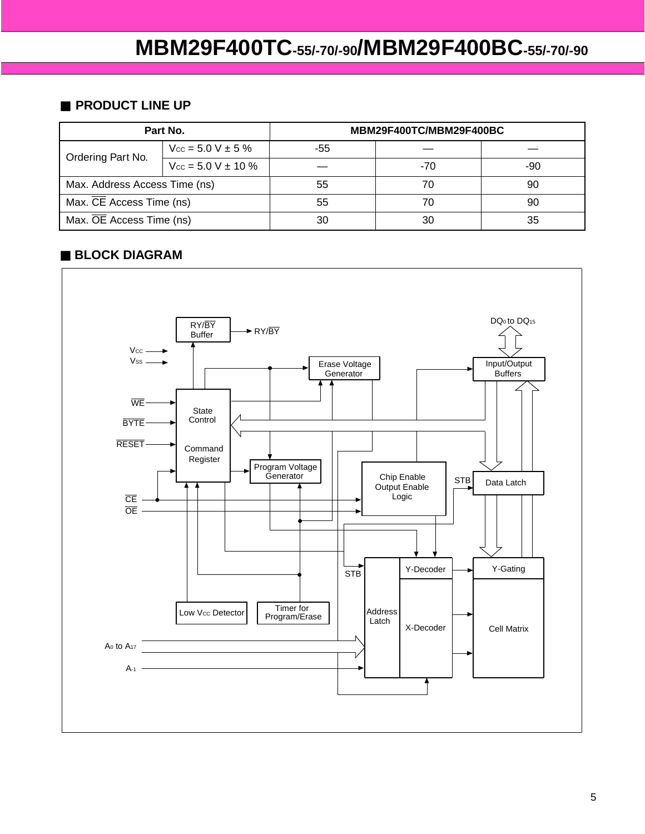### ■ **PRODUCT LINE UP**

|                               | Part No.                          | MBM29F400TC/MBM29F400BC |     |     |  |  |  |  |  |
|-------------------------------|-----------------------------------|-------------------------|-----|-----|--|--|--|--|--|
| Ordering Part No.             | $V_{\text{cc}} = 5.0 V \pm 5 \%$  | -55                     |     |     |  |  |  |  |  |
|                               | $V_{\text{CC}} = 5.0 V \pm 10 \%$ |                         | -70 | -90 |  |  |  |  |  |
| Max. Address Access Time (ns) |                                   | 55                      | 70  | 90  |  |  |  |  |  |
| Max. CE Access Time (ns)      |                                   | 55                      | 70  | 90  |  |  |  |  |  |
| Max. OE Access Time (ns)      |                                   | 30                      | 30  | 35  |  |  |  |  |  |

### ■ **BLOCK DIAGRAM**

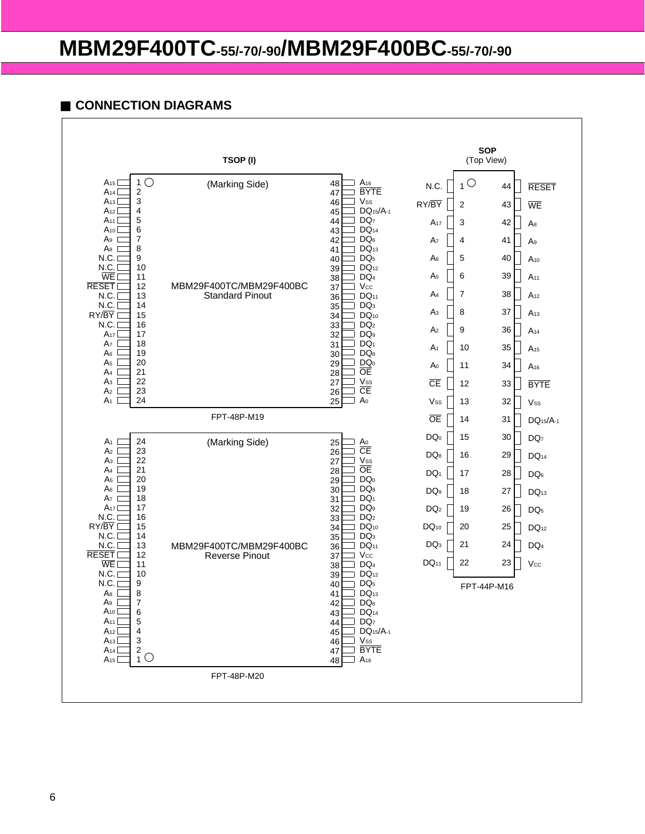### ■ **CONNECTION DIAGRAMS**

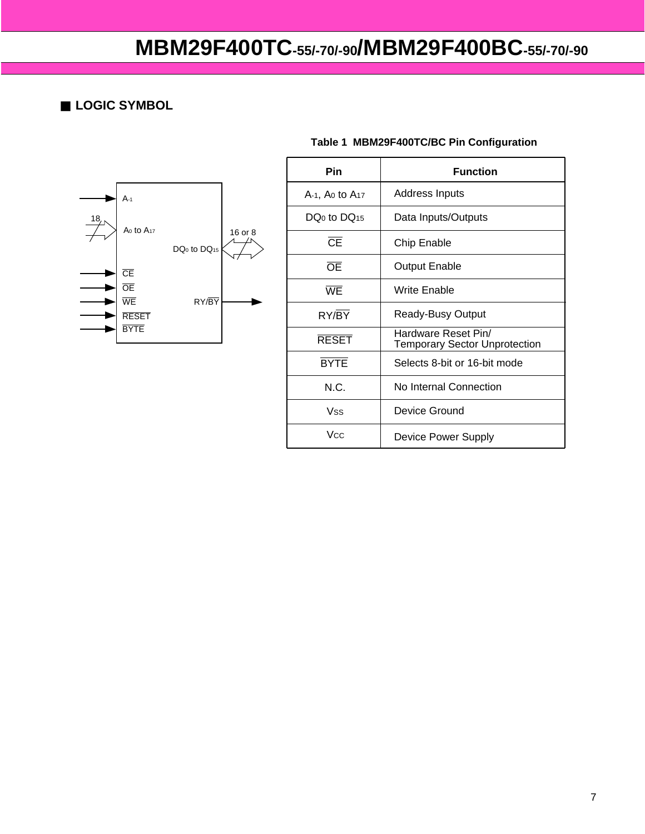■ **LOGIC SYMBOL** 



# **Table 1 MBM29F400TC/BC Pin Configuration**

| Pin                    | <b>Function</b>                                             |
|------------------------|-------------------------------------------------------------|
| A-1, Ao to $A_{17}$    | Address Inputs                                              |
| $DO0$ to $DO15$        | Data Inputs/Outputs                                         |
| $\overline{\text{CE}}$ | <b>Chip Enable</b>                                          |
| $\overline{OE}$        | <b>Output Enable</b>                                        |
| WE                     | Write Enable                                                |
| RY/BY                  | Ready-Busy Output                                           |
| <b>RESET</b>           | Hardware Reset Pin/<br><b>Temporary Sector Unprotection</b> |
| <b>BYTE</b>            | Selects 8-bit or 16-bit mode                                |
| N.C.                   | No Internal Connection                                      |
| Vss                    | Device Ground                                               |
| Vcc                    | Device Power Supply                                         |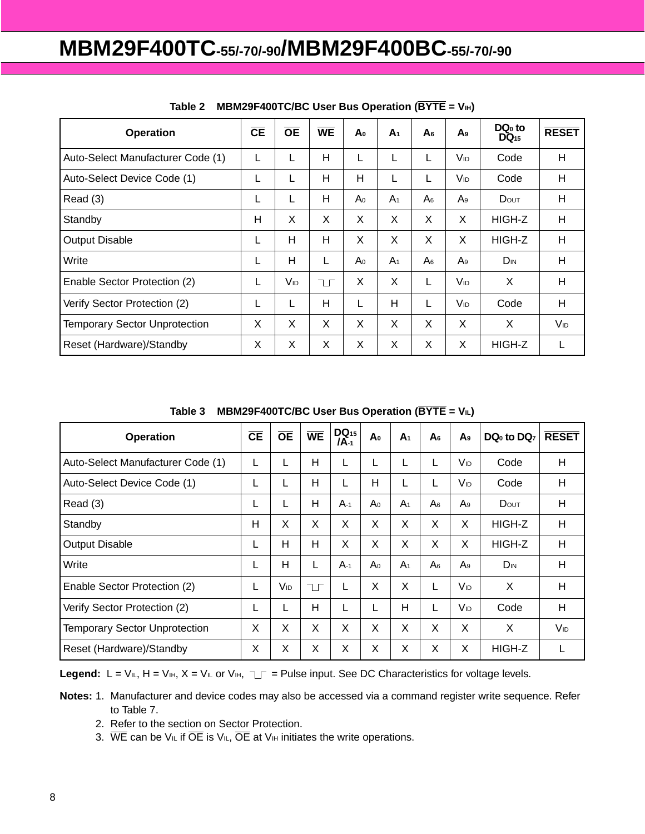| <b>Operation</b>                     | CE | $\overline{OE}$ | <b>WE</b> | Aο             | A <sub>1</sub> | A <sub>6</sub> | A9                    | $DQ0$ to<br>$DQ_{15}$ | <b>RESET</b>    |
|--------------------------------------|----|-----------------|-----------|----------------|----------------|----------------|-----------------------|-----------------------|-----------------|
| Auto-Select Manufacturer Code (1)    |    |                 | Н         | L              | ┕              | L              | <b>V<sub>ID</sub></b> | Code                  | H               |
| Auto-Select Device Code (1)          |    | L               | H         | н              | L              | L              | Vıd                   | Code                  | H               |
| Read (3)                             | L  |                 | H         | A٥             | A <sub>1</sub> | A <sub>6</sub> | A9                    | DOUT                  | H               |
| Standby                              | н  | X               | X         | X              | X              | X              | X                     | HIGH-Z                | H               |
| <b>Output Disable</b>                | L  | н               | H         | X              | X              | X              | X                     | HIGH-Z                | H               |
| Write                                |    | н               |           | A <sub>0</sub> | A <sub>1</sub> | A <sub>6</sub> | A9                    | D <sub>IN</sub>       | H               |
| Enable Sector Protection (2)         | L  | Vıd             | ℸℾ        | X              | X              | L              | V <sub>ID</sub>       | X                     | H               |
| Verify Sector Protection (2)         |    |                 | H         |                | H              | L              | V <sub>ID</sub>       | Code                  | H               |
| <b>Temporary Sector Unprotection</b> | Χ  | X               | X         | X              | X              | X              | X                     | X                     | V <sub>ID</sub> |
| Reset (Hardware)/Standby             | Χ  | X               | X         | X              | X              | X              | X                     | HIGH-Z                | L               |

### Table 2 **MBM29F400TC/BC User Bus Operation (BYTE = VIH)**

Table 3 **MBM29F400TC/BC User Bus Operation (BYTE = VIL)** 

| <b>Operation</b>                     | CE | <b>OE</b> | <b>WE</b> | $DQ_{15}$<br><b>IA-1</b> | A <sub>0</sub> | A <sub>1</sub> | A <sub>6</sub> | A <sub>9</sub>        | DQ <sub>0</sub> to DQ <sub>7</sub> | <b>RESET</b>    |
|--------------------------------------|----|-----------|-----------|--------------------------|----------------|----------------|----------------|-----------------------|------------------------------------|-----------------|
| Auto-Select Manufacturer Code (1)    |    | L         | Н         |                          |                | L              | L              | V <sub>ID</sub>       | Code                               | H               |
| Auto-Select Device Code (1)          |    | L         | Н         |                          | н              | L              | L              | V <sub>ID</sub>       | Code                               | H               |
| Read (3)                             | ∟  | L         | H         | $A-1$                    | A <sub>0</sub> | A <sub>1</sub> | A <sub>6</sub> | A9                    | DOUT                               | H               |
| Standby                              | н  | Χ         | X         | X                        | X              | X              | X              | X                     | HIGH-Z                             | H               |
| <b>Output Disable</b>                | L  | н         | Н         | X                        | X              | X              | X              | X                     | HIGH-Z                             | H               |
| Write                                |    | H         | L         | $A-1$                    | A <sub>0</sub> | A <sub>1</sub> | A <sub>6</sub> | $A_9$                 | D <sub>IN</sub>                    | H               |
| Enable Sector Protection (2)         | L  | VID       | ℸ         | L                        | X              | X              | L              | <b>V<sub>ID</sub></b> | X                                  | H               |
| Verify Sector Protection (2)         |    | L         | H         |                          |                | н              | L              | <b>V<sub>ID</sub></b> | Code                               | H               |
| <b>Temporary Sector Unprotection</b> | X  | X         | X         | X                        | X              | X              | X              | X                     | X                                  | V <sub>ID</sub> |
| Reset (Hardware)/Standby             | X  | Χ         | X         | X                        | X              | X              | X              | X                     | HIGH-Z                             | L               |

**Legend:**  $L = V_{IL}$ ,  $H = V_{IH}$ ,  $X = V_{IL}$  or  $V_{IH}$ ,  $T_{I} = P$ ulse input. See DC Characteristics for voltage levels.

**Notes:** 1. Manufacturer and device codes may also be accessed via a command register write sequence. Refer to Table 7.

- 2. Refer to the section on Sector Protection.
- 3. WE can be V<sub>IL</sub> if  $\overline{OE}$  is V<sub>IL</sub>,  $\overline{OE}$  at V<sub>IH</sub> initiates the write operations.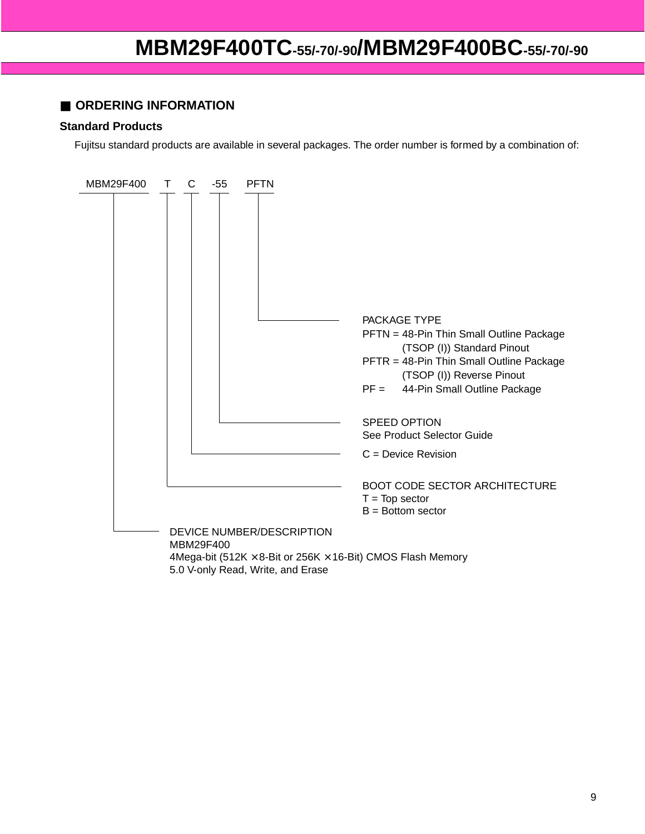### ■ **ORDERING INFORMATION**

#### **Standard Products**

Fujitsu standard products are available in several packages. The order number is formed by a combination of:

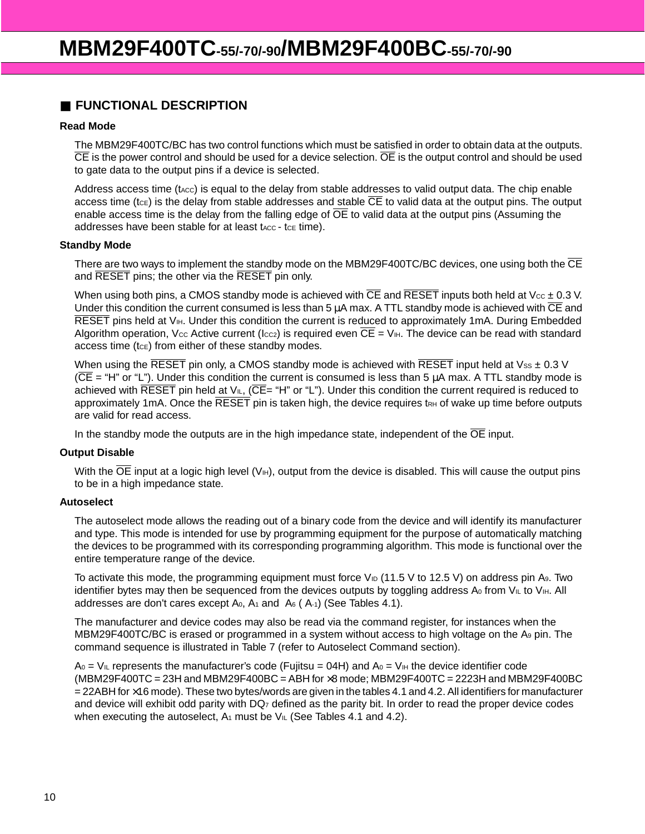### ■ **FUNCTIONAL DESCRIPTION**

#### **Read Mode**

The MBM29F400TC/BC has two control functions which must be satisfied in order to obtain data at the outputs.  $\overline{CE}$  is the power control and should be used for a device selection.  $\overline{OE}$  is the output control and should be used to gate data to the output pins if a device is selected.

Address access time ( $t_{\text{Acc}}$ ) is equal to the delay from stable addresses to valid output data. The chip enable access time (tce) is the delay from stable addresses and stable  $\overline{CE}$  to valid data at the output pins. The output enable access time is the delay from the falling edge of  $\overline{OE}$  to valid data at the output pins (Assuming the addresses have been stable for at least  $t_{\text{ACC}}$  -  $t_{\text{CE}}$  time).

#### **Standby Mode**

There are two ways to implement the standby mode on the MBM29F400TC/BC devices, one using both the CE and RESET pins; the other via the RESET pin only.

When using both pins, a CMOS standby mode is achieved with  $\overline{CE}$  and  $\overline{RESET}$  inputs both held at V $cc \pm 0.3$  V. Under this condition the current consumed is less than 5  $\mu$ A max. A TTL standby mode is achieved with  $\overline{\text{CE}}$  and RESET pins held at  $V_{\text{III}}$ . Under this condition the current is reduced to approximately 1mA. During Embedded Algorithm operation, Vcc Active current (Icc<sub>2</sub>) is required even CE = V<sub>IH</sub>. The device can be read with standard access time  $(t_{CE})$  from either of these standby modes.

When using the RESET pin only, a CMOS standby mode is achieved with RESET input held at  $V_{ss}$  ± 0.3 V  $(\overline{CE} = "H"$  or "L"). Under this condition the current is consumed is less than 5  $\mu$ A max. A TTL standby mode is achieved with RESET pin held at  $V_{I\text{L}}$ , ( $\overline{\text{CE}}$  = "H" or "L"). Under this condition the current required is reduced to approximately 1mA. Once the RESET pin is taken high, the device requires tRH of wake up time before outputs are valid for read access.

In the standby mode the outputs are in the high impedance state, independent of the  $\overline{OE}$  input.

#### **Output Disable**

With the  $\overline{OE}$  input at a logic high level  $(V_H)$ , output from the device is disabled. This will cause the output pins to be in a high impedance state.

#### **Autoselect**

The autoselect mode allows the reading out of a binary code from the device and will identify its manufacturer and type. This mode is intended for use by programming equipment for the purpose of automatically matching the devices to be programmed with its corresponding programming algorithm. This mode is functional over the entire temperature range of the device.

To activate this mode, the programming equipment must force  $V_{1D}$  (11.5 V to 12.5 V) on address pin A<sub>9</sub>. Two identifier bytes may then be sequenced from the devices outputs by toggling address A<sub>0</sub> from VIL to VIH. All addresses are don't cares except  $A_0$ ,  $A_1$  and  $A_6$  ( $A_1$ ) (See Tables 4.1).

The manufacturer and device codes may also be read via the command register, for instances when the MBM29F400TC/BC is erased or programmed in a system without access to high voltage on the A9 pin. The command sequence is illustrated in Table 7 (refer to Autoselect Command section).

 $A_0 = V_{I\!L}$  represents the manufacturer's code (Fujitsu = 04H) and  $A_0 = V_{I\!H}$  the device identifier code  $(MBM29F400TC = 23H$  and  $MBM29F400BC = ABH$  for  $\times 8$  mode;  $MBM29F400TC = 2223H$  and  $MBM29F400BC$  $=$  22ABH for  $\times$ 16 mode). These two bytes/words are given in the tables 4.1 and 4.2. All identifiers for manufacturer and device will exhibit odd parity with DQ7 defined as the parity bit. In order to read the proper device codes when executing the autoselect,  $A_1$  must be  $V_{IL}$  (See Tables 4.1 and 4.2).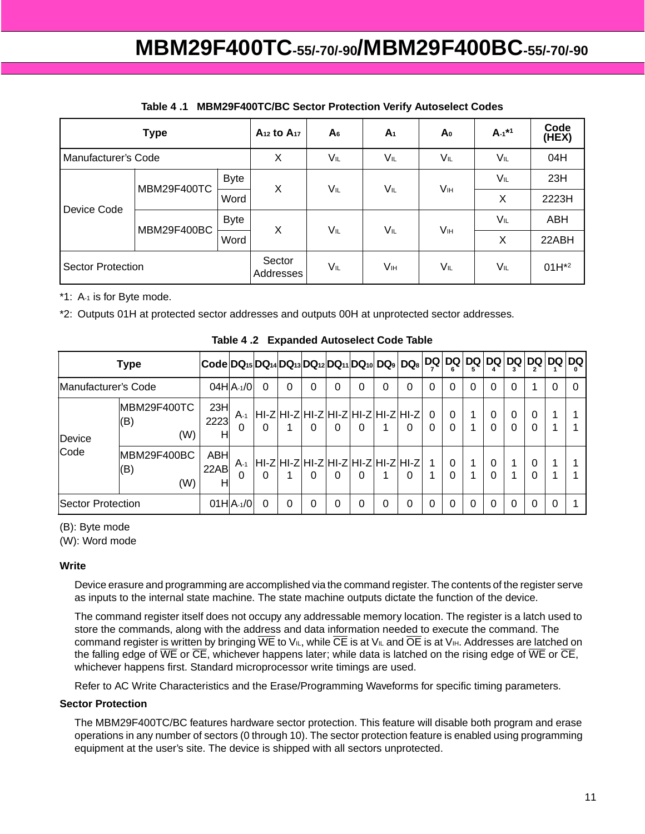|                     | <b>Type</b> |                     | A <sub>12</sub> to A <sub>17</sub> | A <sub>6</sub> | A <sub>1</sub> | A0  | $A - 1*1$  | Code<br>(HEX) |
|---------------------|-------------|---------------------|------------------------------------|----------------|----------------|-----|------------|---------------|
| Manufacturer's Code |             |                     | X                                  | VIL            | VIL            | VIL | VIL        | 04H           |
|                     | MBM29F400TC | <b>Byte</b>         | X                                  | $V_{IL}$       | VIL            | Vн  | VIL        | 23H           |
|                     |             | Word                |                                    |                |                |     | X          | 2223H         |
| Device Code         | MBM29F400BC | <b>Byte</b>         | X                                  | VIL            | VIL            | Vн  | VĩL        | ABH           |
|                     |             | Word                |                                    |                |                |     | X          | 22ABH         |
| Sector Protection   |             | Sector<br>Addresses | VIL                                | Vıн            | VIL            | VĩL | $01H^{*2}$ |               |

#### **Table 4 .1 MBM29F400TC/BC Sector Protection Verify Autoselect Codes**

\*1: A-1 is for Byte mode.

\*2: Outputs 01H at protected sector addresses and outputs 00H at unprotected sector addresses.

|                                     | $ Code DQ_{15} DQ_{14} DQ_{13} DQ_{12} DQ_{11} DQ_{10} DQ_{9} DQ_{8} $ |                  |                 |          |          |          |   |                                                   |          |          | DQ   DQ   DQ   DQ   DQ   DQ |               |          |        |                      |               | <b>DQ DQ</b> |  |
|-------------------------------------|------------------------------------------------------------------------|------------------|-----------------|----------|----------|----------|---|---------------------------------------------------|----------|----------|-----------------------------|---------------|----------|--------|----------------------|---------------|--------------|--|
| Manufacturer's Code                 |                                                                        |                  | $04H A_{-1}/0 $ | 0        | $\Omega$ | $\Omega$ | 0 |                                                   | 0        | 0        | $\Omega$                    | $\Omega$      | 0        | 0      | 0                    |               | 0            |  |
| MBM29F400TC<br>(B)<br>(W)<br>Device |                                                                        | 23H<br>2223<br>н | $A-1$<br>0      | $\Omega$ |          | 0        | 0 | HI-Z HI-Z HI-Z HI-Z HI-Z HI-Z HI-Z  0<br>$\Omega$ |          | $\Omega$ |                             | $\Omega$<br>0 |          | 0<br>0 | $\Omega$<br>$\Omega$ | $\Omega$<br>0 |              |  |
| Code                                | MBM29F400BC<br>(B)<br>(W)                                              | ABH<br>22AB<br>н | $A-1$<br>0      | 0        |          | $\Omega$ | 0 | HI-Z HI-Z HI-Z HI-Z HI-Z HI-Z HI-Z  1<br>$\Omega$ |          | $\Omega$ |                             | $\Omega$<br>0 |          | 0<br>0 |                      | 0<br>0        |              |  |
| Sector Protection                   |                                                                        |                  | $01H A_{-1}/0 $ | 0        | 0        | 0        | 0 |                                                   | $\Omega$ | 0        | $\Omega$                    | 0             | $\Omega$ | 0      | $\Omega$             | 0             | 0            |  |

**Table 4 .2 Expanded Autoselect Code Table**

(B): Byte mode

(W): Word mode

#### **Write**

Device erasure and programming are accomplished via the command register. The contents of the register serve as inputs to the internal state machine. The state machine outputs dictate the function of the device.

The command register itself does not occupy any addressable memory location. The register is a latch used to store the commands, along with the address and data information needed to execute the command. The command register is written by bringing  $\overline{WE}$  to V<sub>IL</sub>, while  $\overline{CE}$  is at V<sub>IL</sub> and  $\overline{OE}$  is at V<sub>IH</sub>. Addresses are latched on the falling edge of  $\overline{WE}$  or  $\overline{CE}$ , whichever happens later; while data is latched on the rising edge of  $\overline{WE}$  or  $\overline{CE}$ , whichever happens first. Standard microprocessor write timings are used.

Refer to AC Write Characteristics and the Erase/Programming Waveforms for specific timing parameters.

#### **Sector Protection**

The MBM29F400TC/BC features hardware sector protection. This feature will disable both program and erase operations in any number of sectors (0 through 10). The sector protection feature is enabled using programming equipment at the user's site. The device is shipped with all sectors unprotected.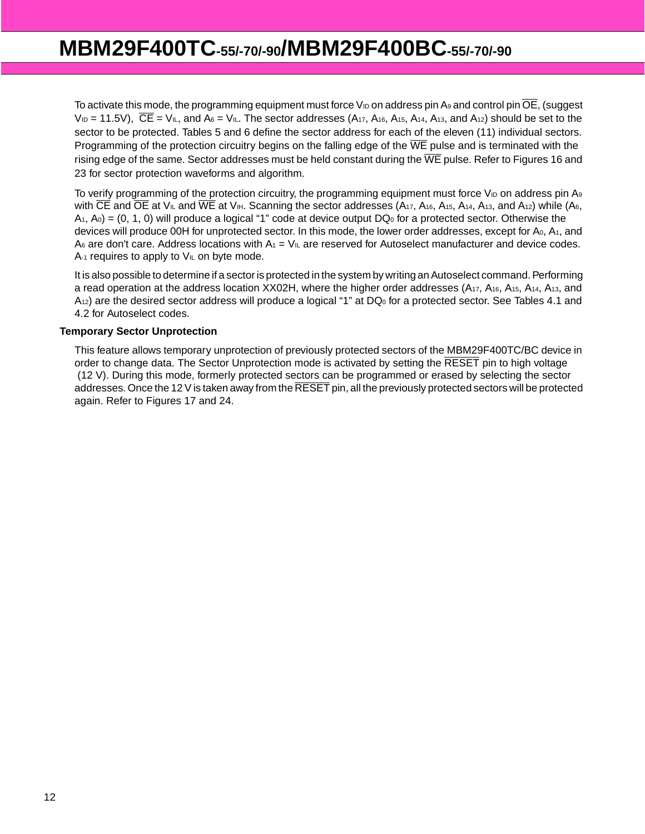To activate this mode, the programming equipment must force  $V_{1D}$  on address pin A<sub>9</sub> and control pin  $\overline{OE}$ , (suggest  $V_{1D}$  = 11.5V),  $\overline{CE}$  =  $V_{1L}$ , and  $A_6 = V_{1L}$ . The sector addresses (A<sub>17</sub>, A<sub>16</sub>, A<sub>15</sub>, A<sub>14</sub>, A<sub>13</sub>, and A<sub>12</sub>) should be set to the sector to be protected. Tables 5 and 6 define the sector address for each of the eleven (11) individual sectors. Programming of the protection circuitry begins on the falling edge of the  $\overline{WE}$  pulse and is terminated with the rising edge of the same. Sector addresses must be held constant during the  $\overline{WE}$  pulse. Refer to Figures 16 and 23 for sector protection waveforms and algorithm.

To verify programming of the protection circuitry, the programming equipment must force  $V_{\text{ID}}$  on address pin A<sub>9</sub> with  $\overline{CE}$  and  $\overline{OE}$  at V<sub>IL</sub> and  $\overline{WE}$  at V<sub>IH</sub>. Scanning the sector addresses (A<sub>17</sub>, A<sub>16</sub>, A<sub>15</sub>, A<sub>14</sub>, A<sub>13</sub>, and A<sub>12</sub>) while (A<sub>6</sub>,  $A_1$ ,  $A_0$ ) = (0, 1, 0) will produce a logical "1" code at device output DQ<sub>0</sub> for a protected sector. Otherwise the devices will produce 00H for unprotected sector. In this mode, the lower order addresses, except for A<sub>0</sub>, A<sub>1</sub>, and A<sub>6</sub> are don't care. Address locations with  $A_1 = V_{I\perp}$  are reserved for Autoselect manufacturer and device codes.  $A_{-1}$  requires to apply to  $V_{I}$  on byte mode.

It is also possible to determine if a sector is protected in the system by writing an Autoselect command. Performing a read operation at the address location XX02H, where the higher order addresses (A17, A16, A15, A14, A13, and  $A_{12}$ ) are the desired sector address will produce a logical "1" at DQ<sub>0</sub> for a protected sector. See Tables 4.1 and 4.2 for Autoselect codes.

#### **Temporary Sector Unprotection**

This feature allows temporary unprotection of previously protected sectors of the MBM29F400TC/BC device in order to change data. The Sector Unprotection mode is activated by setting the RESET pin to high voltage (12 V). During this mode, formerly protected sectors can be programmed or erased by selecting the sector addresses. Once the 12 V is taken away from the RESET pin, all the previously protected sectors will be protected again. Refer to Figures 17 and 24.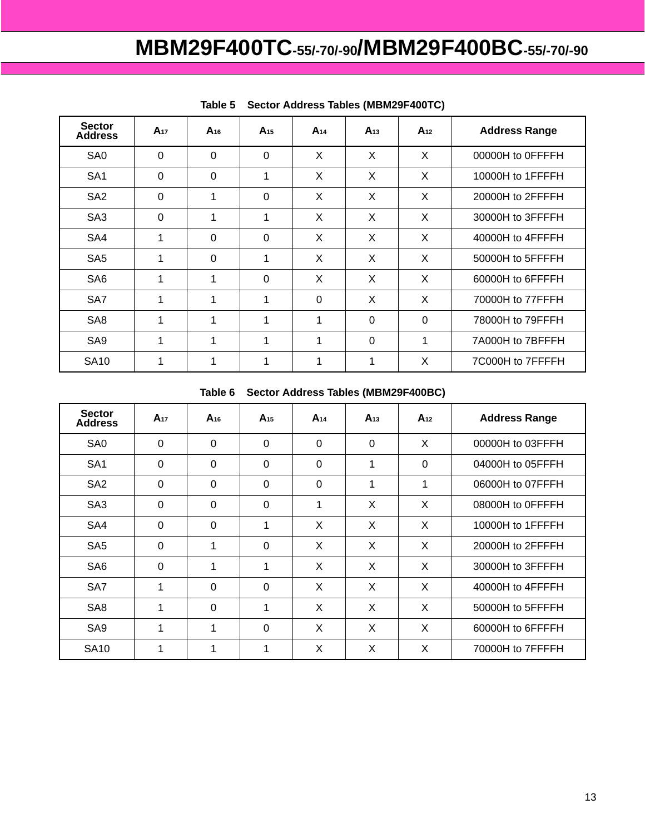| <b>Sector</b><br><b>Address</b> | $A_{17}$ | $A_{16}$ | $A_{15}$ | $A_{14}$ | $A_{13}$       | $A_{12}$ | <b>Address Range</b> |
|---------------------------------|----------|----------|----------|----------|----------------|----------|----------------------|
| SA <sub>0</sub>                 | $\Omega$ | $\Omega$ | $\Omega$ | X        | X              | X        | 00000H to OFFFFH     |
| SA <sub>1</sub>                 | $\Omega$ | $\Omega$ | 1        | X        | X              | X        | 10000H to 1FFFFH     |
| SA <sub>2</sub>                 | $\Omega$ | 1        | $\Omega$ | X        | X              | X        | 20000H to 2FFFFH     |
| SA <sub>3</sub>                 | $\Omega$ | 1        | 1        | X        | X              | X        | 30000H to 3FFFFH     |
| SA4                             | 1        | $\Omega$ | $\Omega$ | X        | X              | X        | 40000H to 4FFFFH     |
| SA <sub>5</sub>                 | 1        | $\Omega$ | 1        | X        | X              | X        | 50000H to 5FFFFH     |
| SA <sub>6</sub>                 | 1        | 1        | $\Omega$ | X        | X              | X        | 60000H to 6FFFFH     |
| SA7                             | 1        | 1        | 1        | $\Omega$ | X              | X        | 70000H to 77FFFH     |
| SA <sub>8</sub>                 | 1        | 1        | 1        | 1        | $\Omega$       | $\Omega$ | 78000H to 79FFFH     |
| SA9                             | 1        | 1        | 1        | 1        | $\overline{0}$ | 1        | 7A000H to 7BFFFH     |
| <b>SA10</b>                     | 1        | 1        | 1        | 1        | 1              | X        | 7C000H to 7FFFFH     |

|  | Table 5 Sector Address Tables (MBM29F400TC) |
|--|---------------------------------------------|
|  |                                             |

#### **Table 6 Sector Address Tables (MBM29F400BC)**

| <b>Sector</b><br><b>Address</b> | $A_{17}$    | $A_{16}$ | $A_{15}$       | $A_{14}$ | $A_{13}$       | $A_{12}$ | <b>Address Range</b> |
|---------------------------------|-------------|----------|----------------|----------|----------------|----------|----------------------|
| SA <sub>0</sub>                 | $\mathbf 0$ | $\Omega$ | $\overline{0}$ | $\Omega$ | $\overline{0}$ | X        | 00000H to 03FFFH     |
| SA <sub>1</sub>                 | $\Omega$    | $\Omega$ | $\Omega$       | $\Omega$ | 1              | $\Omega$ | 04000H to 05FFFH     |
| SA <sub>2</sub>                 | 0           | $\Omega$ | $\mathbf 0$    | $\Omega$ | 1              | 1        | 06000H to 07FFFH     |
| SA <sub>3</sub>                 | $\mathbf 0$ | $\Omega$ | $\overline{0}$ | 1        | X              | X        | 08000H to OFFFFH     |
| SA4                             | $\Omega$    | $\Omega$ | 1              | X        | X              | X        | 10000H to 1FFFFH     |
| SA <sub>5</sub>                 | $\Omega$    | 1        | $\Omega$       | X        | X              | X        | 20000H to 2FFFFH     |
| SA <sub>6</sub>                 | $\Omega$    | 1        | 4              | X        | X              | X        | 30000H to 3FFFFH     |
| SA7                             | 1           | $\Omega$ | $\Omega$       | X        | X              | X        | 40000H to 4FFFFH     |
| SA <sub>8</sub>                 | 1           | $\Omega$ | 1              | X        | X              | X        | 50000H to 5FFFFH     |
| SA <sub>9</sub>                 | 1           | 1        | $\Omega$       | X        | X              | X        | 60000H to 6FFFFH     |
| <b>SA10</b>                     | 1           | 1        | 1              | X        | X              | X        | 70000H to 7FFFFH     |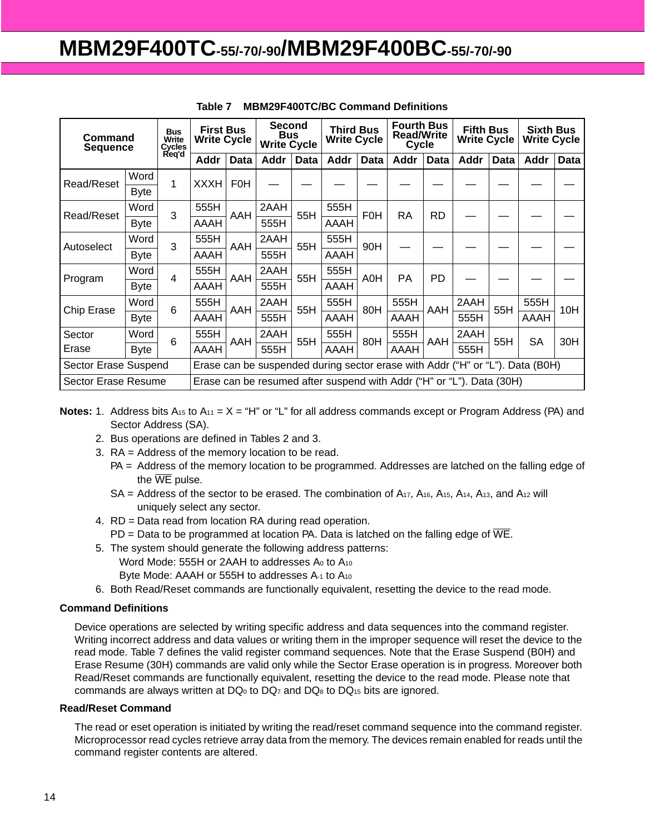| Command<br><b>Sequence</b>                                                                            |             | <b>Bus</b><br>Write<br>Cycles | <b>First Bus</b><br><b>Write Cycle</b>                                |            |             | <b>Second</b><br><b>Bus</b><br><b>Write Cycle</b> |      | <b>Third Bus</b><br><b>Write Cycle</b> |           | <b>Fourth Bus</b><br><b>Read/Write</b><br>Cycle | <b>Fifth Bus</b><br><b>Write Cycle</b> |      | <b>Sixth Bus</b><br><b>Write Cycle</b> |             |
|-------------------------------------------------------------------------------------------------------|-------------|-------------------------------|-----------------------------------------------------------------------|------------|-------------|---------------------------------------------------|------|----------------------------------------|-----------|-------------------------------------------------|----------------------------------------|------|----------------------------------------|-------------|
|                                                                                                       |             | Req'd                         | <b>Addr</b>                                                           | Data       | <b>Addr</b> | <b>Data</b>                                       | Addr | Data                                   | Addr      | Data                                            | Addr                                   | Data | Addr                                   | <b>Data</b> |
| Read/Reset                                                                                            | Word        | 1                             | <b>XXXH</b>                                                           | <b>F0H</b> |             |                                                   |      |                                        |           |                                                 |                                        |      |                                        |             |
|                                                                                                       | <b>Byte</b> |                               |                                                                       |            |             |                                                   |      |                                        |           |                                                 |                                        |      |                                        |             |
| Read/Reset                                                                                            | Word        | 3                             | 555H                                                                  | AAH        | 2AAH        | 55H                                               | 555H | F <sub>0</sub> H                       | <b>RA</b> | <b>RD</b>                                       |                                        |      |                                        |             |
|                                                                                                       | <b>Byte</b> |                               | <b>AAAH</b>                                                           |            | 555H        |                                                   | AAAH |                                        |           |                                                 |                                        |      |                                        |             |
|                                                                                                       | Word        | 3                             | 555H                                                                  | AAH        | 2AAH        | 55H                                               | 555H | 90H                                    |           |                                                 |                                        |      |                                        |             |
| Autoselect                                                                                            | <b>Byte</b> |                               | AAAH                                                                  |            | 555H        |                                                   | AAAH |                                        |           |                                                 |                                        |      |                                        |             |
|                                                                                                       | Word        | 4                             | 555H                                                                  |            | 2AAH        |                                                   | 555H |                                        | <b>PA</b> | <b>PD</b>                                       |                                        |      |                                        |             |
| Program                                                                                               | <b>Byte</b> |                               | <b>AAAH</b>                                                           | AAH        | 555H        | 55H                                               | AAAH | A0H                                    |           |                                                 |                                        |      |                                        |             |
|                                                                                                       | Word        | 6                             | 555H                                                                  |            | 2AAH        | 55H                                               | 555H | 80H                                    | 555H      | AAH                                             | 2AAH                                   |      | 555H                                   |             |
| Chip Erase                                                                                            | <b>Byte</b> |                               | AAAH                                                                  | AAH        | 555H        |                                                   | AAAH |                                        | AAAH      |                                                 | 555H                                   | 55H  | AAAH                                   | 10H         |
| Sector                                                                                                | Word        | $6\phantom{1}$                | 555H                                                                  | AAH        | 2AAH        | 55H                                               | 555H | 80H                                    | 555H      | AAH                                             | 2AAH                                   | 55H  | <b>SA</b>                              | 30H         |
| Erase                                                                                                 | Byte        |                               | AAAH                                                                  |            | 555H        |                                                   | AAAH |                                        | AAAH      |                                                 | 555H                                   |      |                                        |             |
| Sector Erase Suspend<br>Erase can be suspended during sector erase with Addr ("H" or "L"). Data (B0H) |             |                               |                                                                       |            |             |                                                   |      |                                        |           |                                                 |                                        |      |                                        |             |
| Sector Erase Resume                                                                                   |             |                               | Erase can be resumed after suspend with Addr ("H" or "L"). Data (30H) |            |             |                                                   |      |                                        |           |                                                 |                                        |      |                                        |             |

| Table 7 | <b>MBM29F400TC/BC Command Definitions</b> |
|---------|-------------------------------------------|
|         |                                           |

**Notes:** 1. Address bits A<sub>15</sub> to A<sub>11</sub> =  $X = "H"$  or "L" for all address commands except or Program Address (PA) and Sector Address (SA).

- 2. Bus operations are defined in Tables 2 and 3.
- 3. RA = Address of the memory location to be read.
	- PA = Address of the memory location to be programmed. Addresses are latched on the falling edge of the  $\overline{\text{WE}}$  pulse.
	- $SA = Address$  of the sector to be erased. The combination of  $A_{17}$ ,  $A_{16}$ ,  $A_{15}$ ,  $A_{14}$ ,  $A_{13}$ , and  $A_{12}$  will uniquely select any sector.
- 4. RD = Data read from location RA during read operation.
	- $PD = Data$  to be programmed at location PA. Data is latched on the falling edge of  $\overline{WE}$ .
- 5. The system should generate the following address patterns:
	- Word Mode: 555H or 2AAH to addresses A<sub>0</sub> to A<sub>10</sub>
	- Byte Mode: AAAH or 555H to addresses A-1 to A10
- 6. Both Read/Reset commands are functionally equivalent, resetting the device to the read mode.

#### **Command Definitions**

Device operations are selected by writing specific address and data sequences into the command register. Writing incorrect address and data values or writing them in the improper sequence will reset the device to the read mode. Table 7 defines the valid register command sequences. Note that the Erase Suspend (B0H) and Erase Resume (30H) commands are valid only while the Sector Erase operation is in progress. Moreover both Read/Reset commands are functionally equivalent, resetting the device to the read mode. Please note that commands are always written at  $DQ_0$  to  $DQ_7$  and  $DQ_8$  to  $DQ_{15}$  bits are ignored.

#### **Read/Reset Command**

The read or eset operation is initiated by writing the read/reset command sequence into the command register. Microprocessor read cycles retrieve array data from the memory. The devices remain enabled for reads until the command register contents are altered.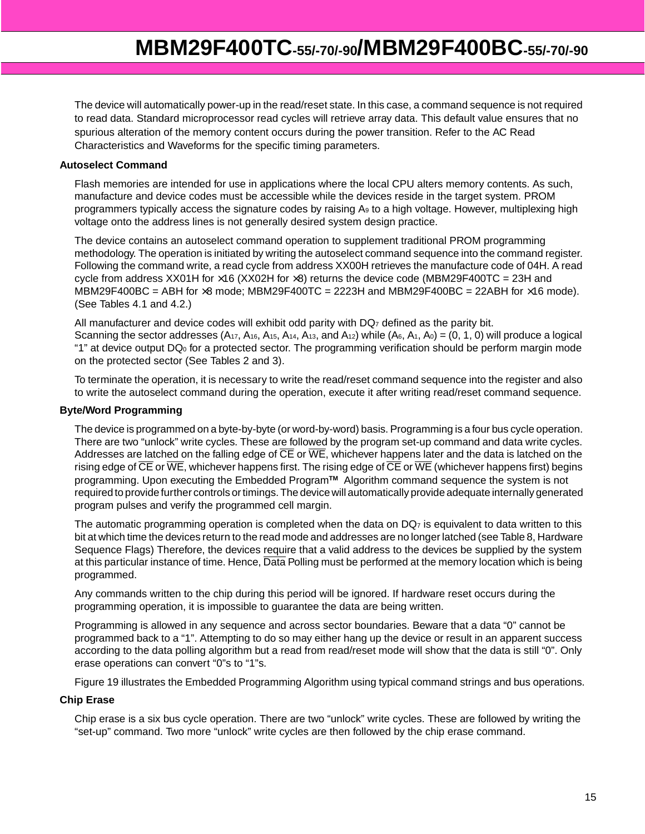The device will automatically power-up in the read/reset state. In this case, a command sequence is not required to read data. Standard microprocessor read cycles will retrieve array data. This default value ensures that no spurious alteration of the memory content occurs during the power transition. Refer to the AC Read Characteristics and Waveforms for the specific timing parameters.

#### **Autoselect Command**

Flash memories are intended for use in applications where the local CPU alters memory contents. As such, manufacture and device codes must be accessible while the devices reside in the target system. PROM programmers typically access the signature codes by raising A9 to a high voltage. However, multiplexing high voltage onto the address lines is not generally desired system design practice.

The device contains an autoselect command operation to supplement traditional PROM programming methodology. The operation is initiated by writing the autoselect command sequence into the command register. Following the command write, a read cycle from address XX00H retrieves the manufacture code of 04H. A read cycle from address XX01H for  $\times$ 16 (XX02H for  $\times$ 8) returns the device code (MBM29F400TC = 23H and MBM29F400BC = ABH for  $\times 8$  mode; MBM29F400TC = 2223H and MBM29F400BC = 22ABH for  $\times 16$  mode). (See Tables 4.1 and 4.2.)

All manufacturer and device codes will exhibit odd parity with  $DQ<sub>7</sub>$  defined as the parity bit. Scanning the sector addresses  $(A_{17}, A_{16}, A_{15}, A_{14}, A_{13}, and A_{12})$  while  $(A_6, A_1, A_0) = (0, 1, 0)$  will produce a logical "1" at device output DQ0 for a protected sector. The programming verification should be perform margin mode on the protected sector (See Tables 2 and 3).

To terminate the operation, it is necessary to write the read/reset command sequence into the register and also to write the autoselect command during the operation, execute it after writing read/reset command sequence.

#### **Byte/Word Programming**

The device is programmed on a byte-by-byte (or word-by-word) basis. Programming is a four bus cycle operation. There are two "unlock" write cycles. These are followed by the program set-up command and data write cycles. Addresses are latched on the falling edge of  $\overline{CE}$  or  $\overline{WE}$ , whichever happens later and the data is latched on the rising edge of CE or WE, whichever happens first. The rising edge of CE or WE (whichever happens first) begins programming. Upon executing the Embedded Program**TM** Algorithm command sequence the system is not required to provide further controls or timings. The device will automatically provide adequate internally generated program pulses and verify the programmed cell margin.

The automatic programming operation is completed when the data on  $DQ<sub>7</sub>$  is equivalent to data written to this bit at which time the devices return to the read mode and addresses are no longer latched (see Table 8, Hardware Sequence Flags) Therefore, the devices require that a valid address to the devices be supplied by the system at this particular instance of time. Hence, Data Polling must be performed at the memory location which is being programmed.

Any commands written to the chip during this period will be ignored. If hardware reset occurs during the programming operation, it is impossible to guarantee the data are being written.

Programming is allowed in any sequence and across sector boundaries. Beware that a data "0" cannot be programmed back to a "1". Attempting to do so may either hang up the device or result in an apparent success according to the data polling algorithm but a read from read/reset mode will show that the data is still "0". Only erase operations can convert "0"s to "1"s.

Figure 19 illustrates the Embedded Programming Algorithm using typical command strings and bus operations.

#### **Chip Erase**

Chip erase is a six bus cycle operation. There are two "unlock" write cycles. These are followed by writing the "set-up" command. Two more "unlock" write cycles are then followed by the chip erase command.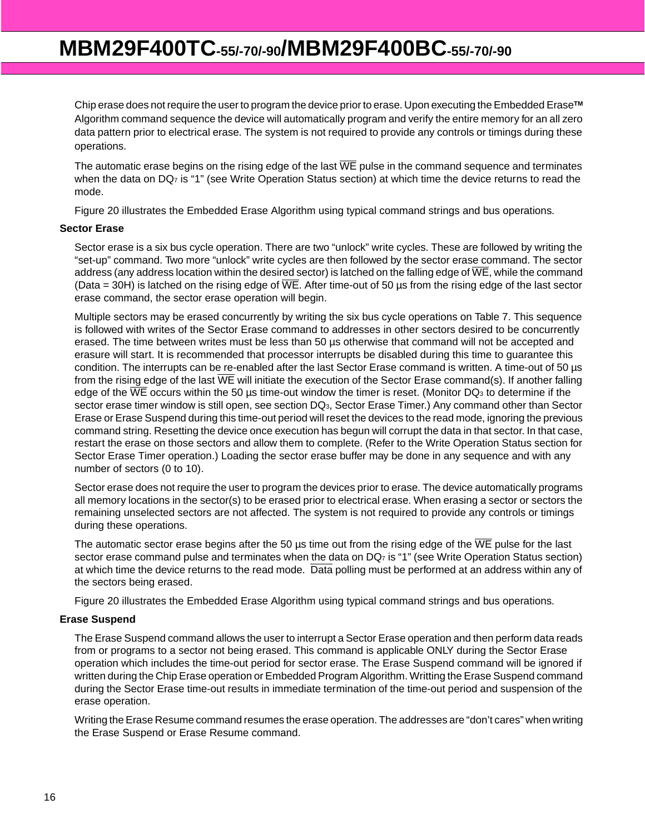Chip erase does not require the user to program the device prior to erase. Upon executing the Embedded Erase**TM** Algorithm command sequence the device will automatically program and verify the entire memory for an all zero data pattern prior to electrical erase. The system is not required to provide any controls or timings during these operations.

The automatic erase begins on the rising edge of the last  $\overline{WE}$  pulse in the command sequence and terminates when the data on DQ<sub>7</sub> is "1" (see Write Operation Status section) at which time the device returns to read the mode.

Figure 20 illustrates the Embedded Erase Algorithm using typical command strings and bus operations.

#### **Sector Erase**

Sector erase is a six bus cycle operation. There are two "unlock" write cycles. These are followed by writing the "set-up" command. Two more "unlock" write cycles are then followed by the sector erase command. The sector address (any address location within the desired sector) is latched on the falling edge of  $\overline{WE}$ , while the command (Data = 30H) is latched on the rising edge of  $\overline{WE}$ . After time-out of 50 µs from the rising edge of the last sector erase command, the sector erase operation will begin.

Multiple sectors may be erased concurrently by writing the six bus cycle operations on Table 7. This sequence is followed with writes of the Sector Erase command to addresses in other sectors desired to be concurrently erased. The time between writes must be less than 50 µs otherwise that command will not be accepted and erasure will start. It is recommended that processor interrupts be disabled during this time to guarantee this condition. The interrupts can be re-enabled after the last Sector Erase command is written. A time-out of 50 µs from the rising edge of the last  $\overline{WE}$  will initiate the execution of the Sector Erase command(s). If another falling edge of the  $\overline{\text{WE}}$  occurs within the 50 µs time-out window the timer is reset. (Monitor DQ<sub>3</sub> to determine if the sector erase timer window is still open, see section DQ<sub>3</sub>, Sector Erase Timer.) Any command other than Sector Erase or Erase Suspend during this time-out period will reset the devices to the read mode, ignoring the previous command string. Resetting the device once execution has begun will corrupt the data in that sector. In that case, restart the erase on those sectors and allow them to complete. (Refer to the Write Operation Status section for Sector Erase Timer operation.) Loading the sector erase buffer may be done in any sequence and with any number of sectors (0 to 10).

Sector erase does not require the user to program the devices prior to erase. The device automatically programs all memory locations in the sector(s) to be erased prior to electrical erase. When erasing a sector or sectors the remaining unselected sectors are not affected. The system is not required to provide any controls or timings during these operations.

The automatic sector erase begins after the 50  $\mu$ s time out from the rising edge of the  $\overline{\text{WE}}$  pulse for the last sector erase command pulse and terminates when the data on DQ<sub>7</sub> is "1" (see Write Operation Status section) at which time the device returns to the read mode. Data polling must be performed at an address within any of the sectors being erased.

Figure 20 illustrates the Embedded Erase Algorithm using typical command strings and bus operations.

#### **Erase Suspend**

The Erase Suspend command allows the user to interrupt a Sector Erase operation and then perform data reads from or programs to a sector not being erased. This command is applicable ONLY during the Sector Erase operation which includes the time-out period for sector erase. The Erase Suspend command will be ignored if written during the Chip Erase operation or Embedded Program Algorithm. Writting the Erase Suspend command during the Sector Erase time-out results in immediate termination of the time-out period and suspension of the erase operation.

Writing the Erase Resume command resumes the erase operation. The addresses are "don't cares" when writing the Erase Suspend or Erase Resume command.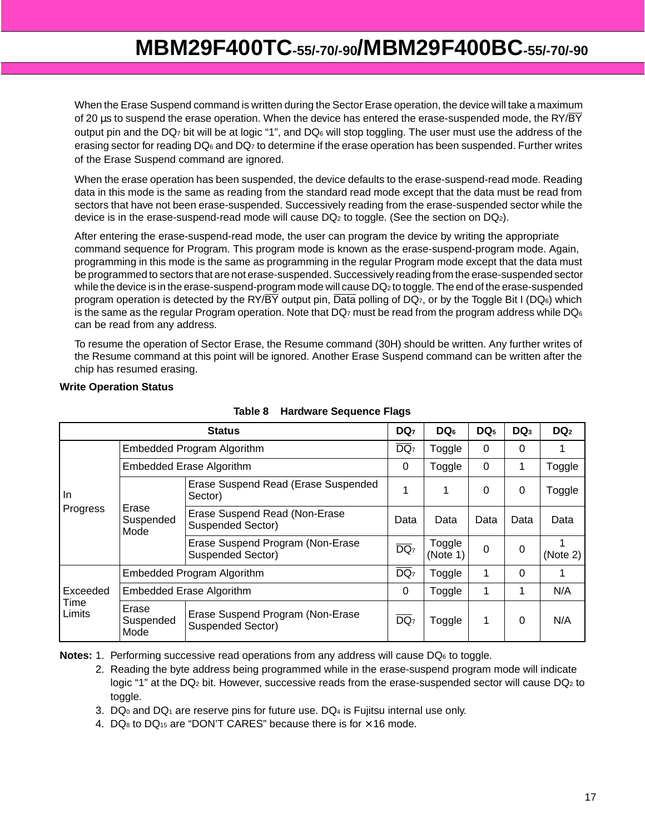When the Erase Suspend command is written during the Sector Erase operation, the device will take a maximum of 20  $\mu$ s to suspend the erase operation. When the device has entered the erase-suspended mode, the RY/ $\overline{BY}$ output pin and the DQ<sub>7</sub> bit will be at logic "1", and DQ<sub>6</sub> will stop toggling. The user must use the address of the erasing sector for reading DQ<sub>6</sub> and DQ<sub>7</sub> to determine if the erase operation has been suspended. Further writes of the Erase Suspend command are ignored.

When the erase operation has been suspended, the device defaults to the erase-suspend-read mode. Reading data in this mode is the same as reading from the standard read mode except that the data must be read from sectors that have not been erase-suspended. Successively reading from the erase-suspended sector while the device is in the erase-suspend-read mode will cause  $DQ_2$  to toggle. (See the section on  $DQ_2$ ).

After entering the erase-suspend-read mode, the user can program the device by writing the appropriate command sequence for Program. This program mode is known as the erase-suspend-program mode. Again, programming in this mode is the same as programming in the regular Program mode except that the data must be programmed to sectors that are not erase-suspended. Successively reading from the erase-suspended sector while the device is in the erase-suspend-program mode will cause DQ<sub>2</sub> to toggle. The end of the erase-suspended program operation is detected by the RY/ $\overline{BY}$  output pin,  $\overline{Data}$  polling of DQ<sub>7</sub>, or by the Toggle Bit I (DQ<sub>6</sub>) which is the same as the regular Program operation. Note that DQ $_7$  must be read from the program address while DQ $_6$ can be read from any address.

To resume the operation of Sector Erase, the Resume command (30H) should be written. Any further writes of the Resume command at this point will be ignored. Another Erase Suspend command can be written after the chip has resumed erasing.

#### **Write Operation Status**

| <b>Status</b>              |                                                                                            |                                                              | DQ <sub>7</sub>   | DQ <sub>6</sub>    | DQ <sub>5</sub> | $DQ_3$   | DQ <sub>2</sub> |
|----------------------------|--------------------------------------------------------------------------------------------|--------------------------------------------------------------|-------------------|--------------------|-----------------|----------|-----------------|
|                            |                                                                                            | Embedded Program Algorithm                                   | $\overline{DQ_7}$ | Toggle             | 0               | 0        |                 |
|                            |                                                                                            | <b>Embedded Erase Algorithm</b>                              | 0                 | Toggle             | 0               | 1        | Toggle          |
| In.<br>Progress            |                                                                                            | Erase Suspend Read (Erase Suspended<br>Sector)               | 1                 |                    | 0               | $\Omega$ | Toggle          |
|                            | Erase<br>Suspended<br>Mode                                                                 | Erase Suspend Read (Non-Erase<br>Suspended Sector)           | Data              | Data               | Data            | Data     | Data            |
|                            |                                                                                            | Erase Suspend Program (Non-Erase<br><b>Suspended Sector)</b> | $\overline{DQ_7}$ | Toggle<br>(Note 1) | 0               | 0        | (Note 2)        |
|                            | Embedded Program Algorithm                                                                 |                                                              |                   | Toggle             | 1               | $\Omega$ |                 |
| Exceeded<br>Time<br>Limits | Embedded Erase Algorithm                                                                   |                                                              |                   | Toggle             | 1               | 1        | N/A             |
|                            | Erase<br>Erase Suspend Program (Non-Erase<br>Suspended<br><b>Suspended Sector)</b><br>Mode |                                                              | $\overline{DQ_7}$ | Toggle             | 1               | 0        | N/A             |

#### **Table 8 Hardware Sequence Flags**

**Notes:** 1. Performing successive read operations from any address will cause DQ<sub>6</sub> to toggle.

- 2. Reading the byte address being programmed while in the erase-suspend program mode will indicate logic "1" at the DQ<sub>2</sub> bit. However, successive reads from the erase-suspended sector will cause DQ<sub>2</sub> to toggle.
- 3.  $DQ_0$  and  $DQ_1$  are reserve pins for future use.  $DQ_4$  is Fujitsu internal use only.
- 4.  $DQ_8$  to  $DQ_{15}$  are "DON'T CARES" because there is for  $\times$  16 mode.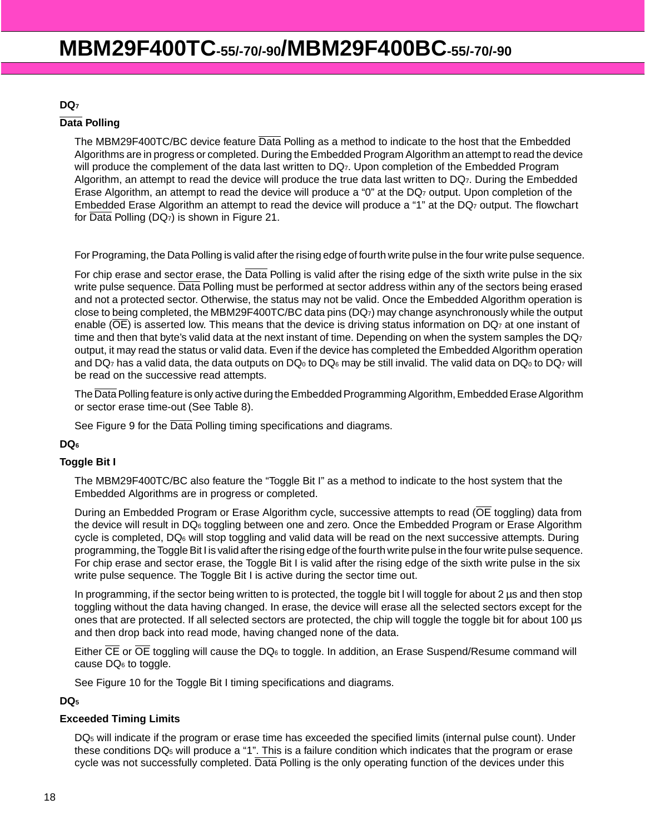#### **DQ7**

#### **Data Polling**

The MBM29F400TC/BC device feature Data Polling as a method to indicate to the host that the Embedded Algorithms are in progress or completed. During the Embedded Program Algorithm an attempt to read the device will produce the complement of the data last written to DQ7. Upon completion of the Embedded Program Algorithm, an attempt to read the device will produce the true data last written to DQ7. During the Embedded Erase Algorithm, an attempt to read the device will produce a "0" at the DQ<sub>7</sub> output. Upon completion of the Embedded Erase Algorithm an attempt to read the device will produce a "1" at the DQ<sub>7</sub> output. The flowchart for Data Polling (DQ7) is shown in Figure 21.

For Programing, the Data Polling is valid after the rising edge of fourth write pulse in the four write pulse sequence.

For chip erase and sector erase, the Data Polling is valid after the rising edge of the sixth write pulse in the six write pulse sequence. Data Polling must be performed at sector address within any of the sectors being erased and not a protected sector. Otherwise, the status may not be valid. Once the Embedded Algorithm operation is close to being completed, the MBM29F400TC/BC data pins (DQ7) may change asynchronously while the output enable ( $\overline{OE}$ ) is asserted low. This means that the device is driving status information on DQ<sub>7</sub> at one instant of time and then that byte's valid data at the next instant of time. Depending on when the system samples the  $DQ_7$ output, it may read the status or valid data. Even if the device has completed the Embedded Algorithm operation and DQ<sub>7</sub> has a valid data, the data outputs on DQ<sub>0</sub> to DQ<sub>6</sub> may be still invalid. The valid data on DQ<sub>0</sub> to DQ<sub>7</sub> will be read on the successive read attempts.

The Data Polling feature is only active during the Embedded Programming Algorithm, Embedded Erase Algorithm or sector erase time-out (See Table 8).

See Figure 9 for the Data Polling timing specifications and diagrams.

#### **DQ6**

#### **Toggle Bit I**

The MBM29F400TC/BC also feature the "Toggle Bit I" as a method to indicate to the host system that the Embedded Algorithms are in progress or completed.

During an Embedded Program or Erase Algorithm cycle, successive attempts to read (OE toggling) data from the device will result in DQ6 toggling between one and zero. Once the Embedded Program or Erase Algorithm cycle is completed, DQ6 will stop toggling and valid data will be read on the next successive attempts. During programming, the Toggle Bit I is valid after the rising edge of the fourth write pulse in the four write pulse sequence. For chip erase and sector erase, the Toggle Bit I is valid after the rising edge of the sixth write pulse in the six write pulse sequence. The Toggle Bit I is active during the sector time out.

In programming, if the sector being written to is protected, the toggle bit I will toggle for about 2 µs and then stop toggling without the data having changed. In erase, the device will erase all the selected sectors except for the ones that are protected. If all selected sectors are protected, the chip will toggle the toggle bit for about 100 µs and then drop back into read mode, having changed none of the data.

Either CE or OE toggling will cause the DQ<sub>6</sub> to toggle. In addition, an Erase Suspend/Resume command will cause DQ6 to toggle.

See Figure 10 for the Toggle Bit I timing specifications and diagrams.

#### **DQ5**

#### **Exceeded Timing Limits**

DQ5 will indicate if the program or erase time has exceeded the specified limits (internal pulse count). Under these conditions DQ5 will produce a "1". This is a failure condition which indicates that the program or erase cycle was not successfully completed. Data Polling is the only operating function of the devices under this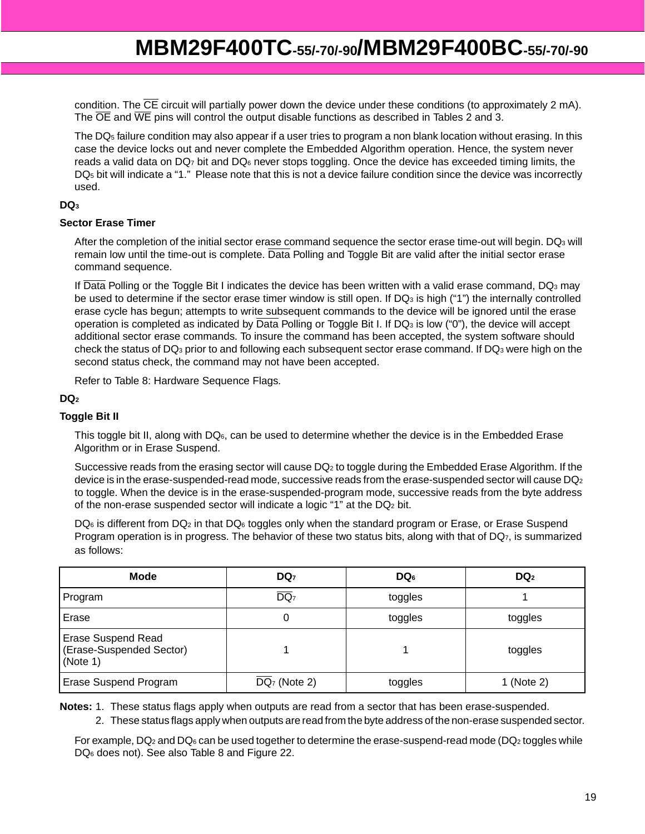condition. The CE circuit will partially power down the device under these conditions (to approximately 2 mA). The  $\overline{OE}$  and  $\overline{WE}$  pins will control the output disable functions as described in Tables 2 and 3.

The DQ5 failure condition may also appear if a user tries to program a non blank location without erasing. In this case the device locks out and never complete the Embedded Algorithm operation. Hence, the system never reads a valid data on DQ<sub>7</sub> bit and DQ<sub>6</sub> never stops toggling. Once the device has exceeded timing limits, the DQ5 bit will indicate a "1." Please note that this is not a device failure condition since the device was incorrectly used.

#### **DQ3**

#### **Sector Erase Timer**

After the completion of the initial sector erase command sequence the sector erase time-out will begin. DQ<sub>3</sub> will remain low until the time-out is complete. Data Polling and Toggle Bit are valid after the initial sector erase command sequence.

If Data Polling or the Toggle Bit I indicates the device has been written with a valid erase command, DQ3 may be used to determine if the sector erase timer window is still open. If DQ<sub>3</sub> is high ("1") the internally controlled erase cycle has begun; attempts to write subsequent commands to the device will be ignored until the erase operation is completed as indicated by Data Polling or Toggle Bit I. If DQ3 is low ("0"), the device will accept additional sector erase commands. To insure the command has been accepted, the system software should check the status of DQ3 prior to and following each subsequent sector erase command. If DQ3 were high on the second status check, the command may not have been accepted.

Refer to Table 8: Hardware Sequence Flags.

#### **DQ2**

#### **Toggle Bit II**

This toggle bit II, along with DQ6, can be used to determine whether the device is in the Embedded Erase Algorithm or in Erase Suspend.

Successive reads from the erasing sector will cause DQ2 to toggle during the Embedded Erase Algorithm. If the device is in the erase-suspended-read mode, successive reads from the erase-suspended sector will cause DQ<sub>2</sub> to toggle. When the device is in the erase-suspended-program mode, successive reads from the byte address of the non-erase suspended sector will indicate a logic "1" at the DQ2 bit.

DQ<sub>6</sub> is different from DQ<sub>2</sub> in that DQ<sub>6</sub> toggles only when the standard program or Erase, or Erase Suspend Program operation is in progress. The behavior of these two status bits, along with that of  $DQ_7$ , is summarized as follows:

| <b>Mode</b>                                                       | DQ <sub>7</sub>            | $DQ_6$  | DQ <sub>2</sub> |
|-------------------------------------------------------------------|----------------------------|---------|-----------------|
| Program                                                           | $\overline{DQ_7}$          | toggles |                 |
| Erase                                                             | 0                          | toggles | toggles         |
| <b>Erase Suspend Read</b><br>(Erase-Suspended Sector)<br>(Note 1) |                            |         | toggles         |
| <b>Erase Suspend Program</b>                                      | $\overline{DQ_7}$ (Note 2) | toggles | 1 (Note 2)      |

**Notes:** 1. These status flags apply when outputs are read from a sector that has been erase-suspended.

2. These status flags apply when outputs are read from the byte address of the non-erase suspended sector.

For example, DQ<sub>2</sub> and DQ<sub>6</sub> can be used together to determine the erase-suspend-read mode (DQ<sub>2</sub> toggles while DQ6 does not). See also Table 8 and Figure 22.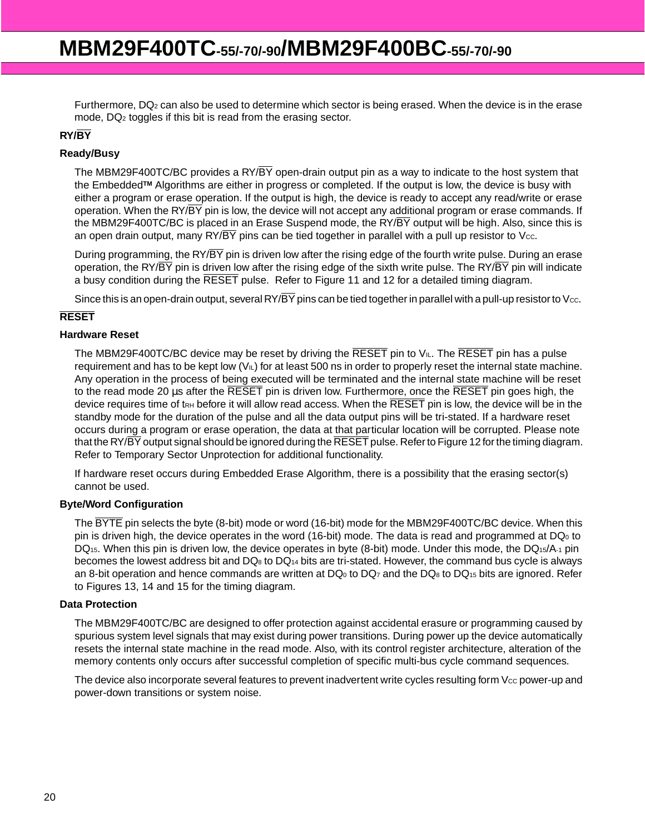Furthermore, DQ2 can also be used to determine which sector is being erased. When the device is in the erase mode, DQ2 toggles if this bit is read from the erasing sector.

#### **RY/BY**

#### **Ready/Busy**

The MBM29F400TC/BC provides a RY/ $\overline{BY}$  open-drain output pin as a way to indicate to the host system that the Embedded**TM** Algorithms are either in progress or completed. If the output is low, the device is busy with either a program or erase operation. If the output is high, the device is ready to accept any read/write or erase operation. When the RY/ $\overline{BY}$  pin is low, the device will not accept any additional program or erase commands. If the MBM29F400TC/BC is placed in an Erase Suspend mode, the RY/ $\overline{BY}$  output will be high. Also, since this is an open drain output, many  $\frac{RY}{BY}$  pins can be tied together in parallel with a pull up resistor to Vcc.

During programming, the RY/BY pin is driven low after the rising edge of the fourth write pulse. During an erase operation, the RY/ $\overline{BY}$  pin is driven low after the rising edge of the sixth write pulse. The RY/ $\overline{BY}$  pin will indicate a busy condition during the RESET pulse. Refer to Figure 11 and 12 for a detailed timing diagram.

Since this is an open-drain output, several RY/ $\overline{BY}$  pins can be tied together in parallel with a pull-up resistor to Vcc.

#### **RESET**

#### **Hardware Reset**

The MBM29F400TC/BC device may be reset by driving the  $\overline{\text{RESET}}$  pin to  $V_{IL}$ . The  $\overline{\text{RESET}}$  pin has a pulse requirement and has to be kept low  $(V<sub>IL</sub>)$  for at least 500 ns in order to properly reset the internal state machine. Any operation in the process of being executed will be terminated and the internal state machine will be reset to the read mode 20 µs after the RESET pin is driven low. Furthermore, once the RESET pin goes high, the device requires time of t<sub>RH</sub> before it will allow read access. When the  $\overline{\text{RESET}}$  pin is low, the device will be in the standby mode for the duration of the pulse and all the data output pins will be tri-stated. If a hardware reset occurs during a program or erase operation, the data at that particular location will be corrupted. Please note that the RY/BY output signal should be ignored during the RESET pulse. Refer to Figure 12 for the timing diagram. Refer to Temporary Sector Unprotection for additional functionality.

If hardware reset occurs during Embedded Erase Algorithm, there is a possibility that the erasing sector(s) cannot be used.

#### **Byte/Word Configuration**

The BYTE pin selects the byte (8-bit) mode or word (16-bit) mode for the MBM29F400TC/BC device. When this pin is driven high, the device operates in the word (16-bit) mode. The data is read and programmed at  $DQ_0$  to DQ<sub>15</sub>. When this pin is driven low, the device operates in byte (8-bit) mode. Under this mode, the DQ<sub>15</sub>/A-1 pin becomes the lowest address bit and DQ8 to DQ14 bits are tri-stated. However, the command bus cycle is always an 8-bit operation and hence commands are written at DQ<sub>0</sub> to DQ<sub>7</sub> and the DQ<sub>8</sub> to DQ<sub>15</sub> bits are ignored. Refer to Figures 13, 14 and 15 for the timing diagram.

#### **Data Protection**

The MBM29F400TC/BC are designed to offer protection against accidental erasure or programming caused by spurious system level signals that may exist during power transitions. During power up the device automatically resets the internal state machine in the read mode. Also, with its control register architecture, alteration of the memory contents only occurs after successful completion of specific multi-bus cycle command sequences.

The device also incorporate several features to prevent inadvertent write cycles resulting form V<sub>cc</sub> power-up and power-down transitions or system noise.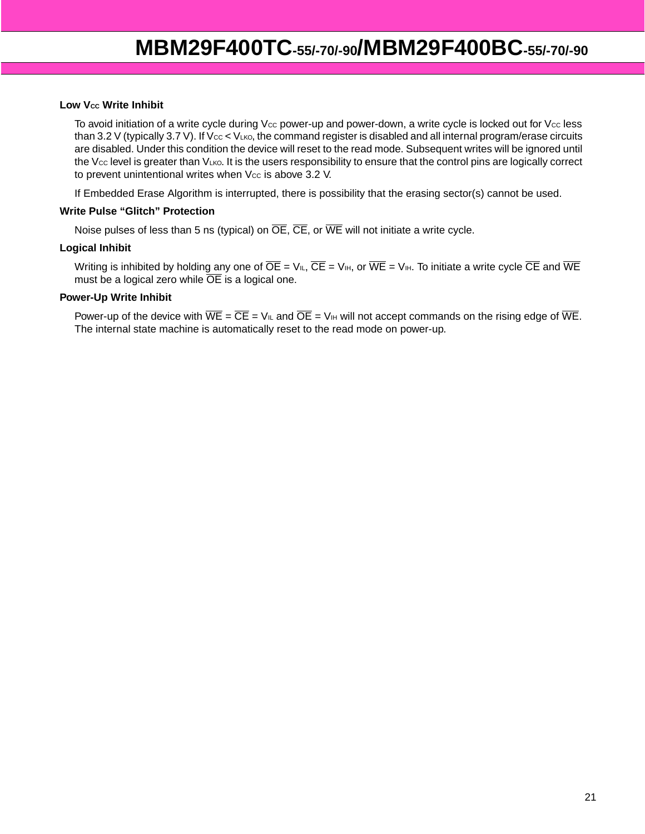#### **Low Vcc Write Inhibit**

To avoid initiation of a write cycle during  $V_{CC}$  power-up and power-down, a write cycle is locked out for  $V_{CC}$  less than 3.2 V (typically 3.7 V). If  $V_{CC} < V_{LKO}$ , the command register is disabled and all internal program/erase circuits are disabled. Under this condition the device will reset to the read mode. Subsequent writes will be ignored until the Vcc level is greater than VLKO. It is the users responsibility to ensure that the control pins are logically correct to prevent unintentional writes when  $V_{CC}$  is above 3.2 V.

If Embedded Erase Algorithm is interrupted, there is possibility that the erasing sector(s) cannot be used.

#### **Write Pulse "Glitch" Protection**

Noise pulses of less than 5 ns (typical) on  $\overline{OE}$ ,  $\overline{CE}$ , or  $\overline{WE}$  will not initiate a write cycle.

#### **Logical Inhibit**

Writing is inhibited by holding any one of  $\overline{OE} = V_{II}$ ,  $\overline{CE} = V_{III}$ , or  $\overline{WE} = V_{III}$ . To initiate a write cycle  $\overline{CE}$  and  $\overline{WE}$ must be a logical zero while  $\overline{OE}$  is a logical one.

#### **Power-Up Write Inhibit**

Power-up of the device with  $\overline{WE} = \overline{CE} = V_{IL}$  and  $\overline{OE} = V_{IH}$  will not accept commands on the rising edge of  $\overline{WE}$ . The internal state machine is automatically reset to the read mode on power-up.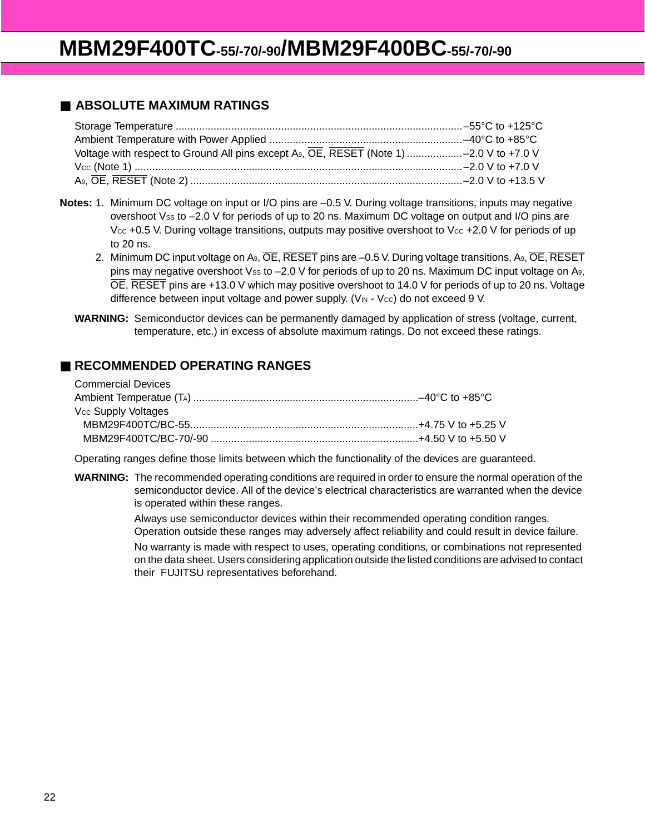### ■ **ABSOLUTE MAXIMUM RATINGS**

- **Notes:** 1. Minimum DC voltage on input or I/O pins are –0.5 V. During voltage transitions, inputs may negative overshoot Vss to  $-2.0$  V for periods of up to 20 ns. Maximum DC voltage on output and I/O pins are Vcc +0.5 V. During voltage transitions, outputs may positive overshoot to Vcc +2.0 V for periods of up to 20 ns.
	- 2. Minimum DC input voltage on A<sub>9</sub>, OE, RESET pins are -0.5 V. During voltage transitions, A<sub>9</sub>, OE, RESET pins may negative overshoot Vss to  $-2.0$  V for periods of up to 20 ns. Maximum DC input voltage on A9, OE, RESET pins are +13.0 V which may positive overshoot to 14.0 V for periods of up to 20 ns. Voltage difference between input voltage and power supply. ( $V_{\text{IN}}$  -  $V_{\text{CC}}$ ) do not exceed 9 V.
	- **WARNING:** Semiconductor devices can be permanently damaged by application of stress (voltage, current, temperature, etc.) in excess of absolute maximum ratings. Do not exceed these ratings.

### ■ **RECOMMENDED OPERATING RANGES**

| <b>Commercial Devices</b>       |  |
|---------------------------------|--|
|                                 |  |
| V <sub>cc</sub> Supply Voltages |  |
|                                 |  |
|                                 |  |
|                                 |  |

Operating ranges define those limits between which the functionality of the devices are guaranteed.

**WARNING:** The recommended operating conditions are required in order to ensure the normal operation of the semiconductor device. All of the device's electrical characteristics are warranted when the device is operated within these ranges.

> Always use semiconductor devices within their recommended operating condition ranges. Operation outside these ranges may adversely affect reliability and could result in device failure.

No warranty is made with respect to uses, operating conditions, or combinations not represented on the data sheet. Users considering application outside the listed conditions are advised to contact their FUJITSU representatives beforehand.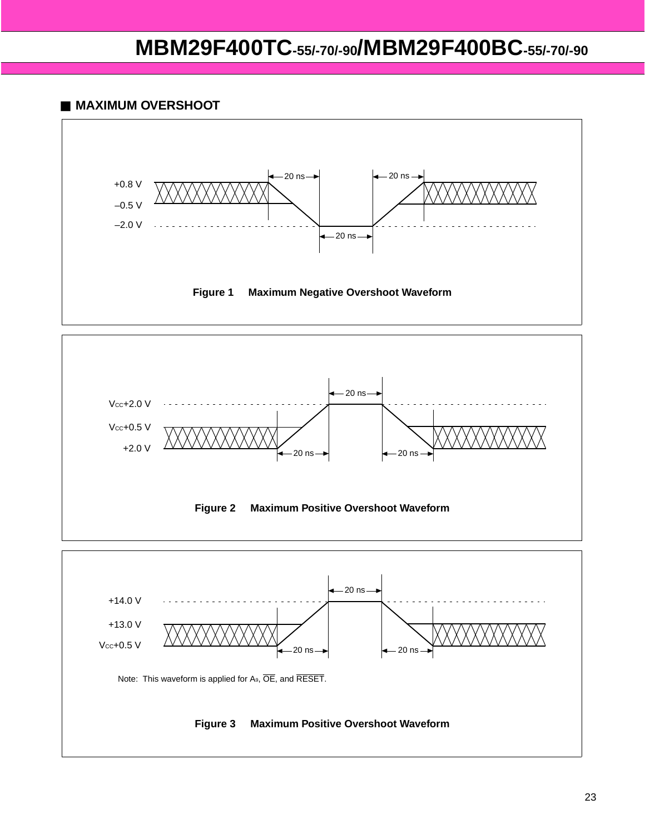### ■ **MAXIMUM OVERSHOOT**





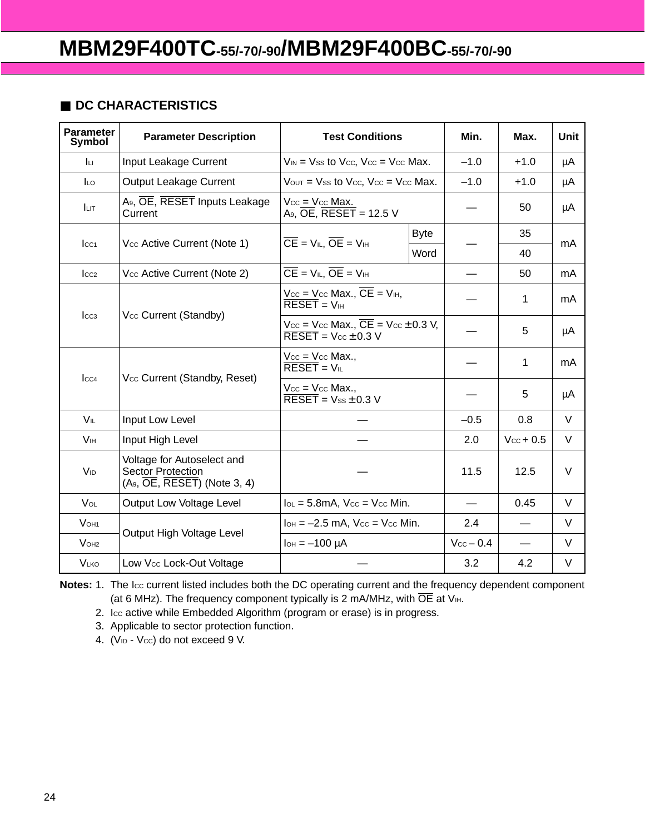### ■ **DC CHARACTERISTICS**

| Parameter<br>Symbol     | <b>Parameter Description</b>                                                                                  | <b>Test Conditions</b>                                                                                                         | Min.                    | Max.                  | <b>Unit</b> |
|-------------------------|---------------------------------------------------------------------------------------------------------------|--------------------------------------------------------------------------------------------------------------------------------|-------------------------|-----------------------|-------------|
| Iц                      | Input Leakage Current                                                                                         | $V_{IN}$ = Vss to Vcc, Vcc = Vcc Max.                                                                                          | $-1.0$                  | $+1.0$                | μA          |
| $\overline{\mathsf{L}}$ | <b>Output Leakage Current</b>                                                                                 | $V_{\text{OUT}} = V_{\text{SS}}$ to $V_{\text{CC}}$ , $V_{\text{CC}} = V_{\text{CC}}$ Max.                                     | $-1.0$                  | $+1.0$                | μA          |
| <b>LIT</b>              | A <sub>9</sub> , OE, RESET Inputs Leakage<br>Current                                                          | $Vec = Vec$ Max.<br>$A9$ , $\overline{OE}$ , $\overline{RESET}$ = 12.5 V                                                       |                         | 50                    | μA          |
| $ _{CC1}$               | Vcc Active Current (Note 1)                                                                                   | <b>Byte</b><br>$\overline{CE}$ = $V_{IL}$ , $\overline{OE}$ = $V_{IH}$                                                         |                         | 35                    | mA          |
|                         |                                                                                                               | Word                                                                                                                           |                         | 40                    |             |
| $ _{CC2}$               | Vcc Active Current (Note 2)                                                                                   | $\overline{CE}$ = $V_{IL}$ , $\overline{OE}$ = $V_{IH}$                                                                        |                         | 50                    | mA          |
|                         |                                                                                                               | $V_{CC}$ = V <sub>cc</sub> Max., $\overline{CE}$ = V <sub>IH</sub> ,<br>$\overline{\mathsf{RESET}} = \mathsf{V}_{\mathsf{IH}}$ |                         | 1                     | mA          |
| I <sub>CC3</sub>        | Vcc Current (Standby)                                                                                         | $V_{\text{CC}}$ = Vcc Max., $\overline{\text{CE}}$ = Vcc $\pm$ 0.3 V,<br>$\overline{\text{RESET}}$ = $\text{Vcc}$ ± 0.3 V      |                         | 5                     | μA          |
|                         |                                                                                                               | $Vec = Vec$ Max.,<br>$\overline{\mathsf{RESET}} = \mathsf{V}_{\mathsf{IL}}$                                                    |                         | 1                     | mA          |
| $_{\text{LCA}}$         | Vcc Current (Standby, Reset)                                                                                  | $Vec = Vec$ Max.,<br>$\overline{\text{RESET}}$ = $V_{ss}$ ± 0.3 V                                                              |                         | 5                     | μA          |
| VIL                     | Input Low Level                                                                                               |                                                                                                                                | $-0.5$                  | 0.8                   | V           |
| <b>V<sub>IH</sub></b>   | Input High Level                                                                                              |                                                                                                                                | 2.0                     | $V_{\text{cc}} + 0.5$ | $\vee$      |
| <b>V<sub>ID</sub></b>   | Voltage for Autoselect and<br><b>Sector Protection</b><br>$(A9, \overline{OE}, \overline{RESET}) (Note 3, 4)$ |                                                                                                                                | 11.5                    | 12.5                  | $\vee$      |
| VOL                     | <b>Output Low Voltage Level</b>                                                                               | $I_{OL} = 5.8mA$ , $V_{CC} = V_{CC} Min$ .                                                                                     |                         | 0.45                  | V           |
| V <sub>OH1</sub>        |                                                                                                               | $I_{OH} = -2.5$ mA, $V_{CC} = V_{CC}$ Min.                                                                                     | 2.4                     |                       | $\vee$      |
| V <sub>OH2</sub>        | Output High Voltage Level                                                                                     | $I_{OH} = -100 \mu A$                                                                                                          | $V_{\text{CC}}$ $-$ 0.4 |                       | $\vee$      |
| <b>VLKO</b>             | Low Vcc Lock-Out Voltage                                                                                      |                                                                                                                                | 3.2                     | 4.2                   | V           |

Notes: 1. The Icc current listed includes both the DC operating current and the frequency dependent component (at 6 MHz). The frequency component typically is 2 mA/MHz, with  $\overline{OE}$  at V<sub>IH</sub>.

2. Icc active while Embedded Algorithm (program or erase) is in progress.

3. Applicable to sector protection function.

4. (VID - Vcc) do not exceed 9 V.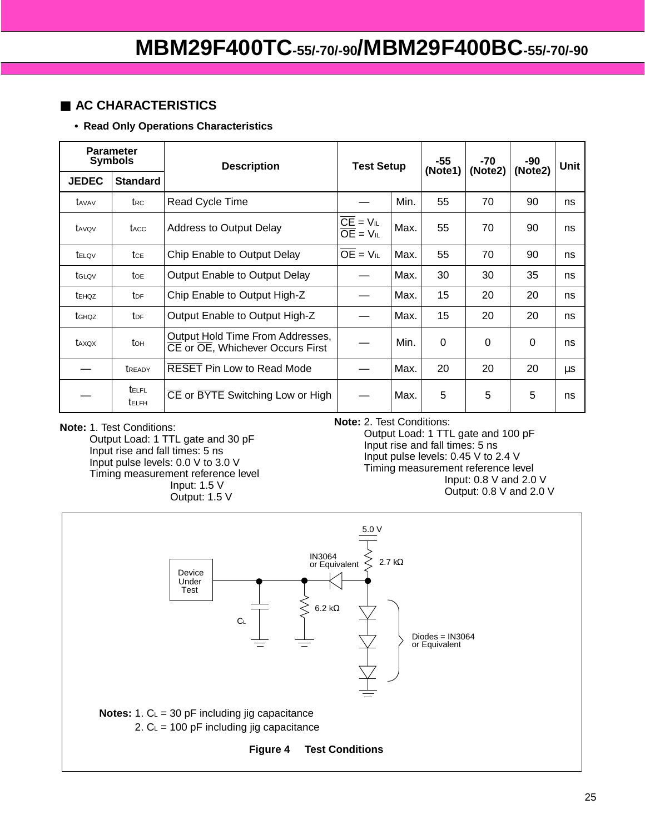### ■ **AC CHARACTERISTICS**

**• Read Only Operations Characteristics** 

| <b>Parameter</b><br><b>Symbols</b> |                              | <b>Description</b>                                                   | <b>Test Setup</b>                                      |      | -55<br>(Note1) | -70<br>(Note2) | -90<br>(Note2) | Unit    |
|------------------------------------|------------------------------|----------------------------------------------------------------------|--------------------------------------------------------|------|----------------|----------------|----------------|---------|
| <b>JEDEC</b>                       | <b>Standard</b>              |                                                                      |                                                        |      |                |                |                |         |
| t <sub>AVAV</sub>                  | t <sub>RC</sub>              | Read Cycle Time                                                      |                                                        | Min. | 55             | 70             | 90             | ns      |
| tavov                              | tacc                         | <b>Address to Output Delay</b>                                       | $\overline{CE} = V_{IL}$<br>$\overline{OE}$ = $V_{IL}$ | Max. | 55             | 70             | 90             | ns      |
| telov                              | tce                          | Chip Enable to Output Delay                                          | $\overline{OE}$ = $V_{IL}$                             | Max. | 55             | 70             | 90             | ns      |
| tglov                              | toe                          | Output Enable to Output Delay                                        |                                                        | Max. | 30             | 30             | 35             | ns      |
| tehoz                              | t <sub>DF</sub>              | Chip Enable to Output High-Z                                         |                                                        | Max. | 15             | 20             | 20             | ns      |
| tghqz                              | <b>t</b> <sub>DF</sub>       | Output Enable to Output High-Z                                       |                                                        | Max. | 15             | 20             | 20             | ns      |
| taxox                              | to <sub>H</sub>              | Output Hold Time From Addresses,<br>CE or OE, Whichever Occurs First |                                                        | Min. | 0              | $\Omega$       | $\Omega$       | ns      |
|                                    | <b>TREADY</b>                | <b>RESET Pin Low to Read Mode</b>                                    |                                                        | Max. | 20             | 20             | 20             | $\mu s$ |
|                                    | <b>TELFL</b><br><b>TELFH</b> | CE or BYTE Switching Low or High                                     |                                                        | Max. | 5              | 5              | 5              | ns      |

**Note:** 1. Test Conditions: Output Load: 1 TTL gate and 30 pF Input rise and fall times: 5 ns Input pulse levels: 0.0 V to 3.0 V Timing measurement reference level Input: 1.5 V Output: 1.5 V

**Note:** 2. Test Conditions:

Output Load: 1 TTL gate and 100 pF Input rise and fall times: 5 ns Input pulse levels: 0.45 V to 2.4 V Timing measurement reference level Input: 0.8 V and 2.0 V Output: 0.8 V and 2.0 V

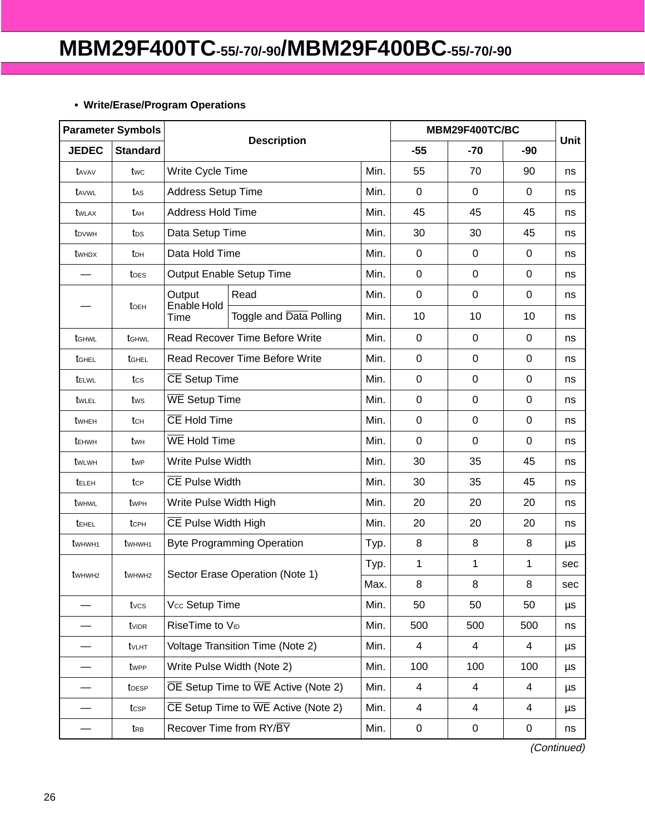### **• Write/Erase/Program Operations**

| <b>Parameter Symbols</b>                   |                                            |                             |                                                               |      | MBM29F400TC/BC |                |                |      |
|--------------------------------------------|--------------------------------------------|-----------------------------|---------------------------------------------------------------|------|----------------|----------------|----------------|------|
| <b>JEDEC</b>                               | <b>Standard</b>                            | <b>Description</b>          |                                                               |      | $-55$          | -70            | $-90$          | Unit |
| tavav                                      | twc                                        | Write Cycle Time            |                                                               | Min. | 55             | 70             | 90             | ns   |
| tavwl                                      | tas                                        | Address Setup Time          |                                                               | Min. | $\mathbf 0$    | $\mathbf 0$    | 0              | ns   |
| twlax                                      | tан                                        | <b>Address Hold Time</b>    |                                                               | Min. | 45             | 45             | 45             | ns   |
| t <sub>DVWH</sub>                          | tos                                        | Data Setup Time             |                                                               | Min. | 30             | 30             | 45             | ns   |
| <b>t</b> whdx                              | tон                                        | Data Hold Time              |                                                               | Min. | $\mathbf 0$    | $\mathbf 0$    | 0              | ns   |
|                                            | toes                                       |                             | Output Enable Setup Time                                      | Min. | $\mathbf 0$    | $\mathbf 0$    | $\mathbf 0$    | ns   |
|                                            |                                            | Output                      | Read                                                          | Min. | $\mathbf 0$    | $\overline{0}$ | 0              | ns   |
|                                            | toeh                                       | Enable Hold<br>Time         | Toggle and Data Polling                                       | Min. | 10             | 10             | 10             | ns   |
| tGHWL                                      | tGHWL                                      |                             | <b>Read Recover Time Before Write</b>                         | Min. | $\mathbf 0$    | $\mathbf 0$    | 0              | ns   |
| tGHEL                                      | tghel                                      |                             | <b>Read Recover Time Before Write</b>                         | Min. | 0              | 0              | 0              | ns   |
| tELWL                                      | tcs                                        | CE Setup Time               |                                                               | Min. | $\mathbf 0$    | $\mathbf 0$    | 0              | ns   |
| twlel                                      | tws                                        | <b>WE</b> Setup Time        |                                                               | Min. | $\mathbf 0$    | $\mathbf 0$    | $\mathbf 0$    | ns   |
| twheh                                      | $t$ <sub>CH</sub>                          |                             | CE Hold Time                                                  |      | $\mathbf 0$    | $\mathbf 0$    | 0              | ns   |
| tEHWH                                      | twн                                        | WE Hold Time                |                                                               | Min. | $\mathbf 0$    | $\overline{0}$ | 0              | ns   |
| twlwh                                      | twp                                        | Write Pulse Width           |                                                               | Min. | 30             | 35             | 45             | ns   |
| teleh                                      | tcp                                        | CE Pulse Width              |                                                               | Min. | 30             | 35             | 45             | ns   |
| twhwl                                      | twph                                       | Write Pulse Width High      |                                                               | Min. | 20             | 20             | 20             | ns   |
| tehel                                      | tc <sub>PH</sub>                           | CE Pulse Width High         |                                                               | Min. | 20             | 20             | 20             | ns   |
| twhw <sub>H1</sub>                         | twhwh <sub>1</sub>                         |                             | <b>Byte Programming Operation</b>                             | Typ. | 8              | 8              | 8              | μs   |
|                                            |                                            |                             |                                                               | Typ. | 1              | 1              | 1              | sec  |
| t <sub>w</sub> <sub>Hw</sub> <sub>H2</sub> | t <sub>w</sub> <sub>Hw</sub> <sub>H2</sub> |                             | Sector Erase Operation (Note 1)                               | Max. | 8              | 8              | 8              | sec  |
|                                            | tvcs                                       | Vcc Setup Time              |                                                               | Min. | 50             | 50             | 50             | μs   |
|                                            | tvidr                                      | RiseTime to V <sub>ID</sub> |                                                               | Min. | 500            | 500            | 500            | ns   |
|                                            | tvlht                                      |                             | Voltage Transition Time (Note 2)                              |      | $\overline{4}$ | $\overline{4}$ | $\overline{4}$ | μs   |
|                                            | twpp                                       | Write Pulse Width (Note 2)  |                                                               | Min. | 100            | 100            | 100            | μs   |
|                                            | toesp                                      |                             | $\overline{OE}$ Setup Time to $\overline{WE}$ Active (Note 2) | Min. | 4              | 4              | 4              | μs   |
|                                            | tcsp                                       |                             | $\overline{CE}$ Setup Time to $\overline{WE}$ Active (Note 2) | Min. | 4              | 4              | 4              | μs   |
|                                            | $t_{RB}$                                   |                             | Recover Time from RY/BY                                       | Min. | 0              | 0              | 0              | ns   |

(Continued)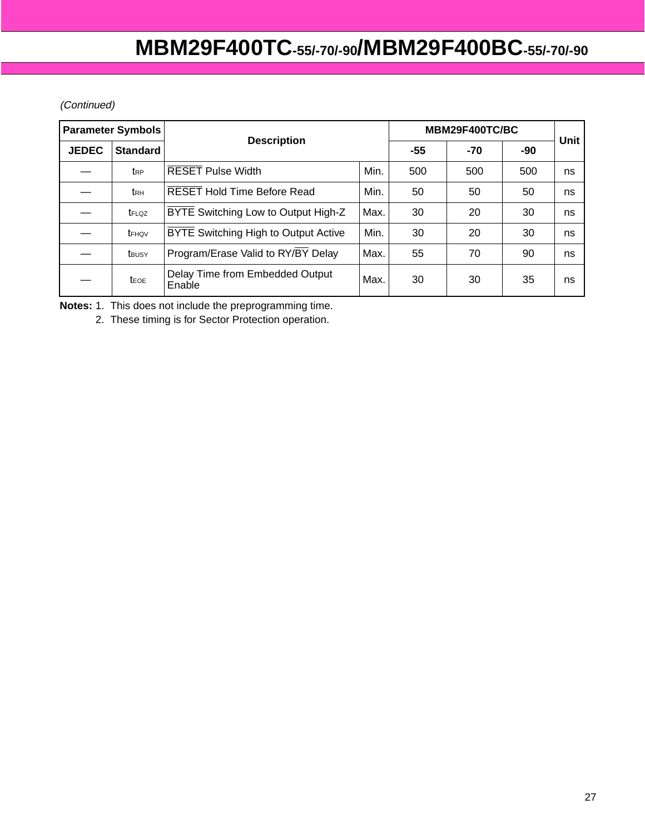### (Continued)

| <b>Parameter Symbols</b> |                   |                                             | MBM29F400TC/BC     |     |     |       |             |
|--------------------------|-------------------|---------------------------------------------|--------------------|-----|-----|-------|-------------|
| <b>JEDEC</b>             | <b>Standard</b>   |                                             | <b>Description</b> |     |     | $-90$ | <b>Unit</b> |
|                          | t <sub>RP</sub>   | <b>RESET Pulse Width</b>                    | Min.               | 500 | 500 | 500   | ns          |
|                          | t <sub>RH</sub>   | <b>RESET Hold Time Before Read</b>          | Min.               | 50  | 50  | 50    | ns          |
|                          | t <sub>FLQZ</sub> | BYTE Switching Low to Output High-Z         | Max.               | 30  | 20  | 30    | ns          |
|                          | tFHQV             | <b>BYTE</b> Switching High to Output Active | Min.               | 30  | 20  | 30    | ns          |
|                          | t <sub>BUSY</sub> | Program/Erase Valid to RY/BY Delay          | Max.               | 55  | 70  | 90    | ns          |
|                          | <b>t</b> EOE      | Delay Time from Embedded Output<br>Enable   | Max.               | 30  | 30  | 35    | ns          |

**Notes:** 1. This does not include the preprogramming time.

2. These timing is for Sector Protection operation.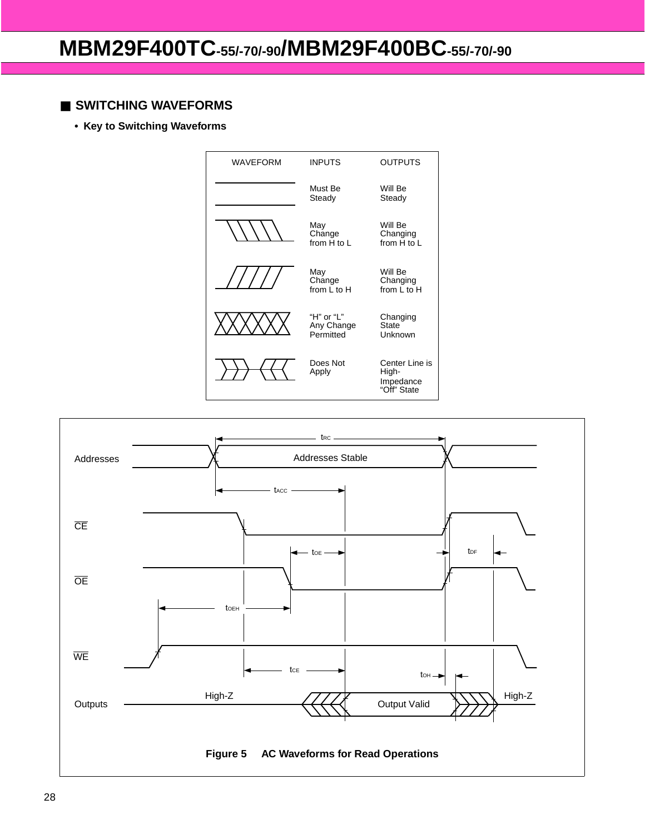### ■ **SWITCHING WAVEFORMS**

**• Key to Switching Waveforms**



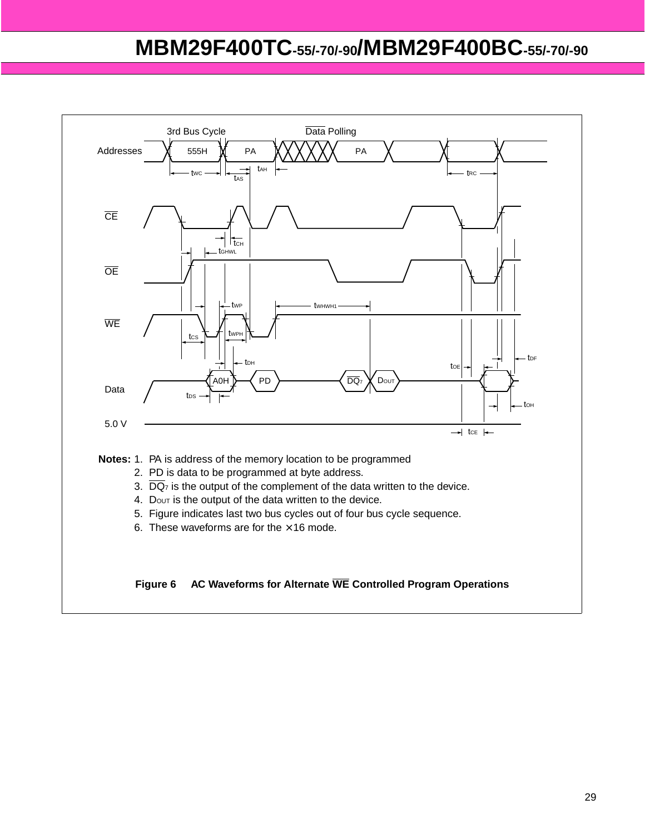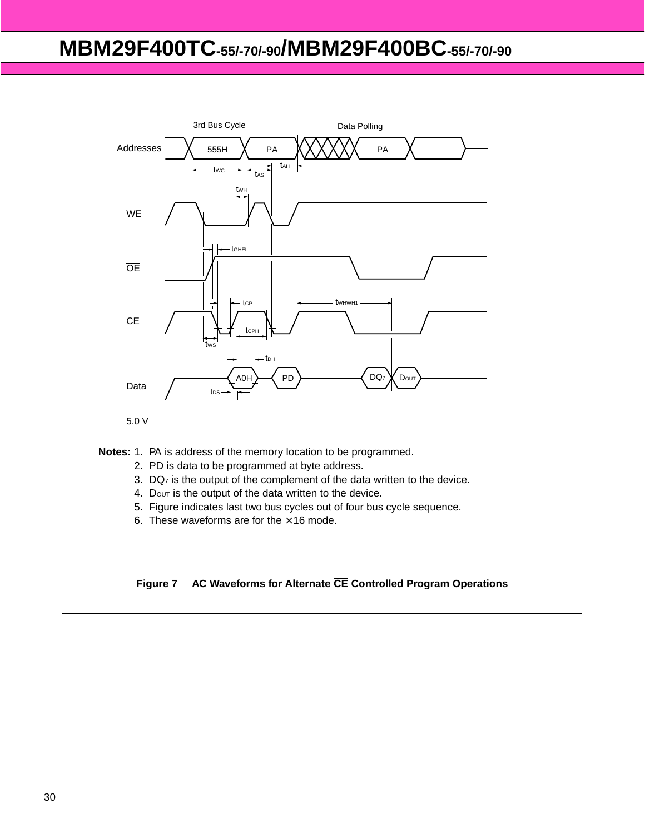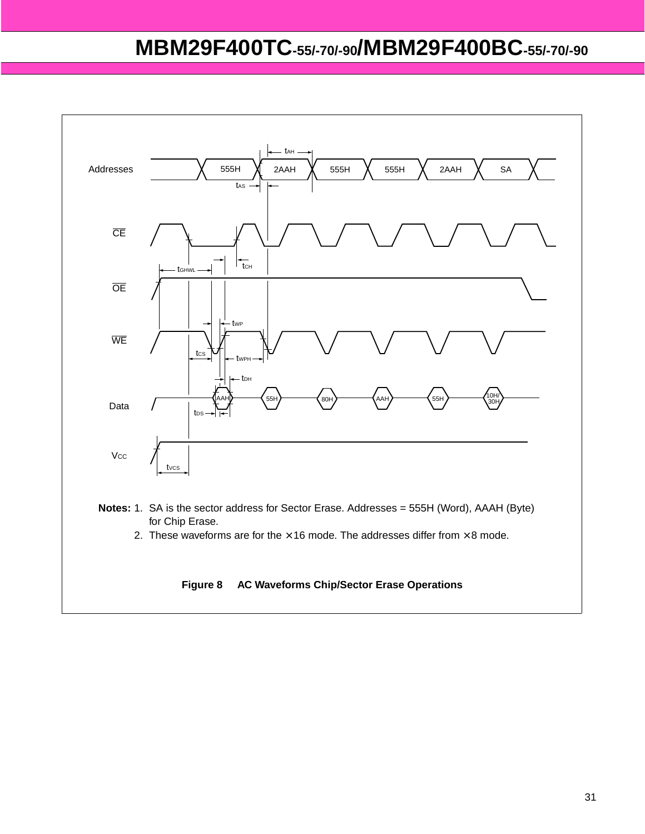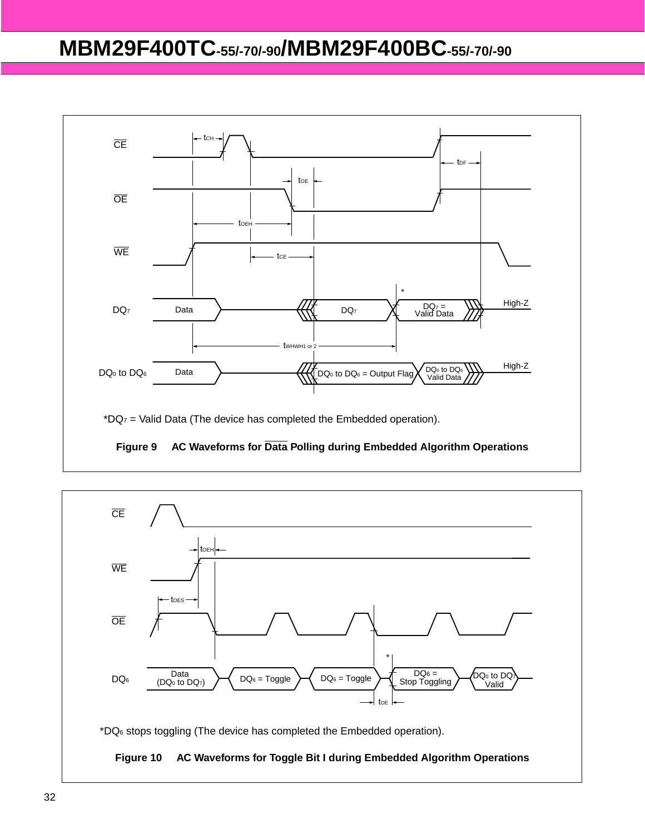

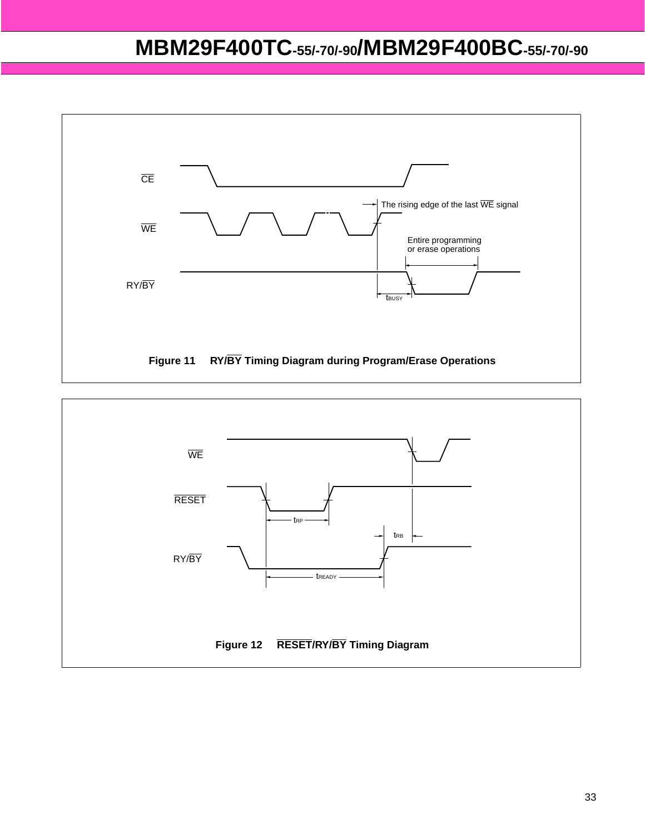

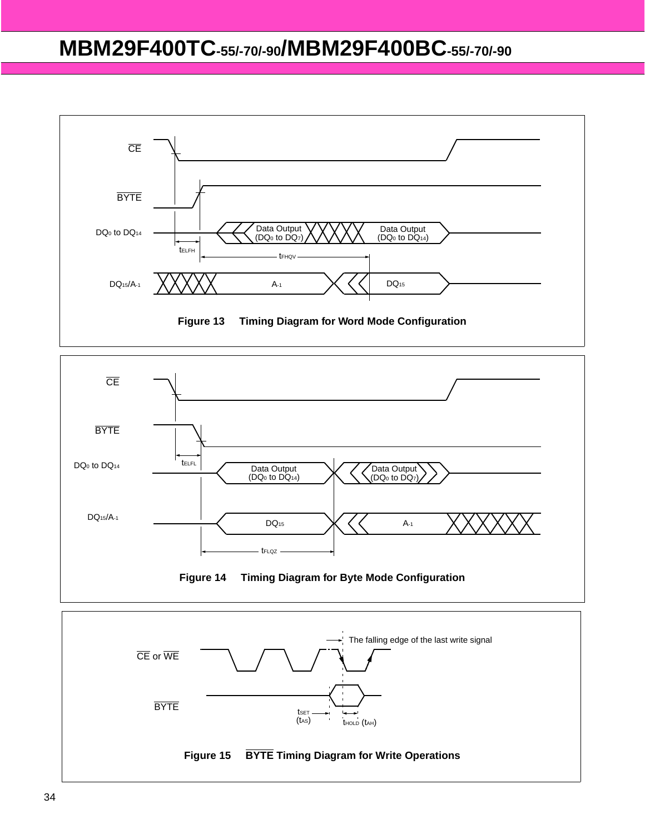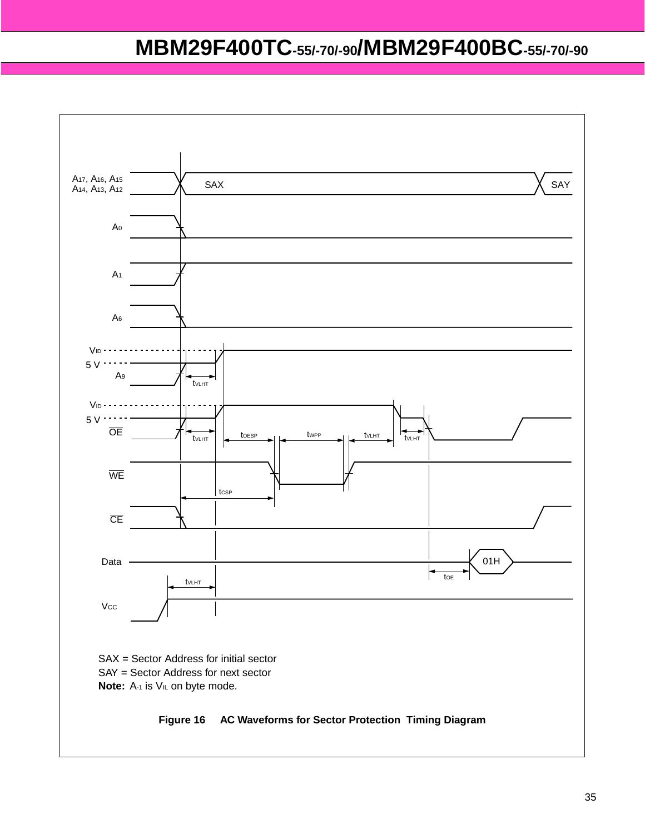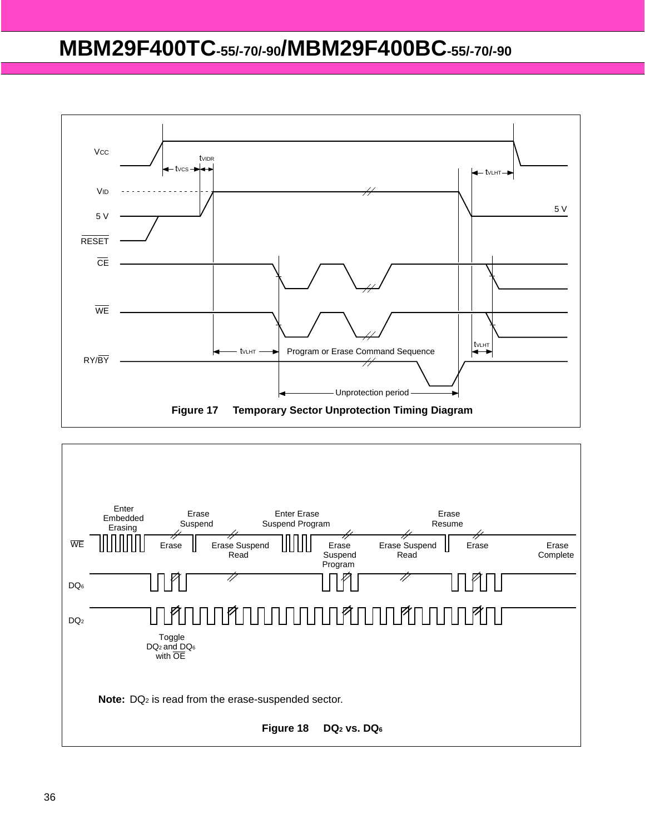

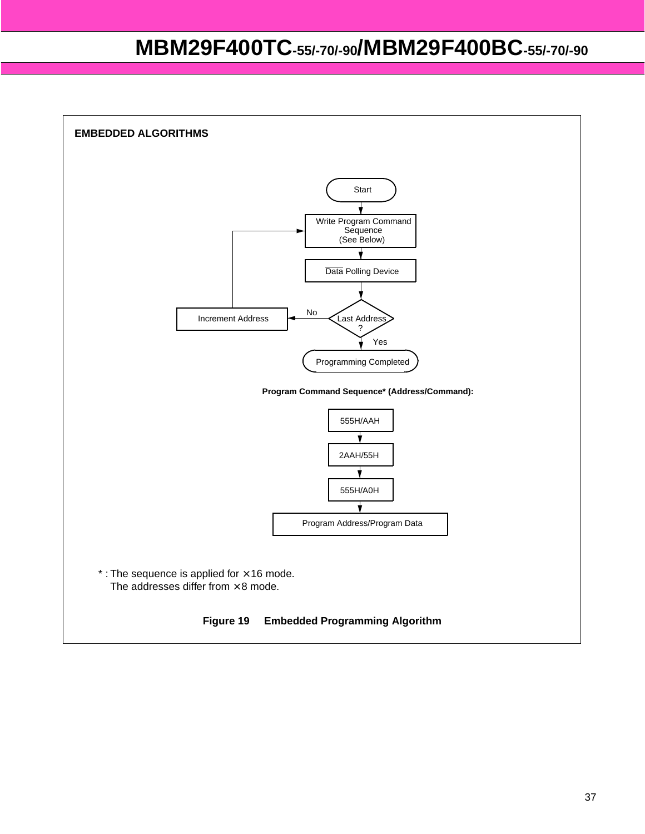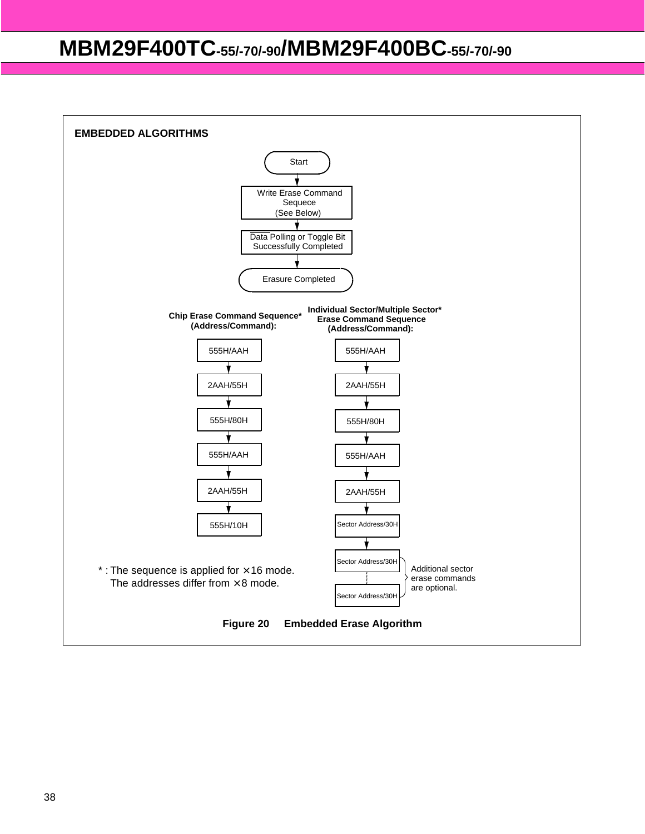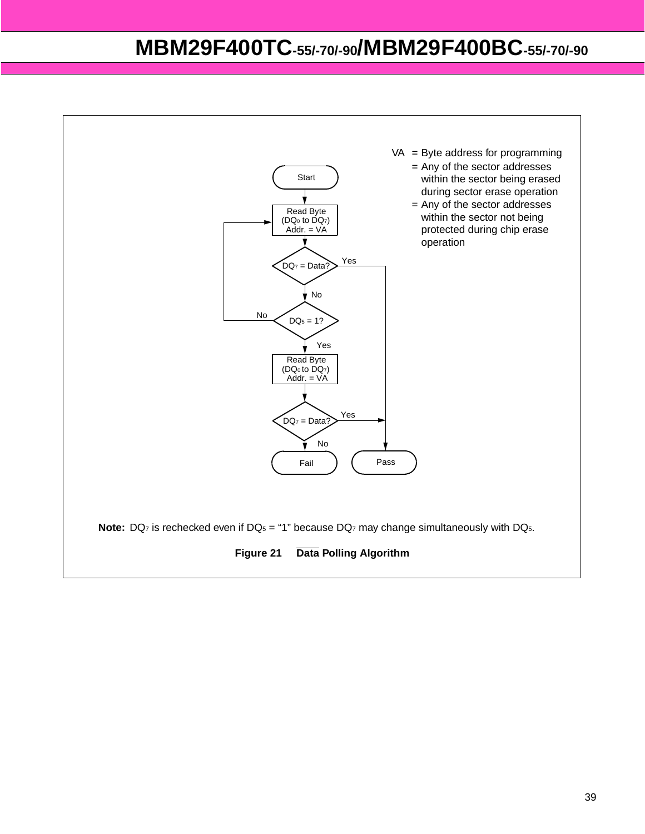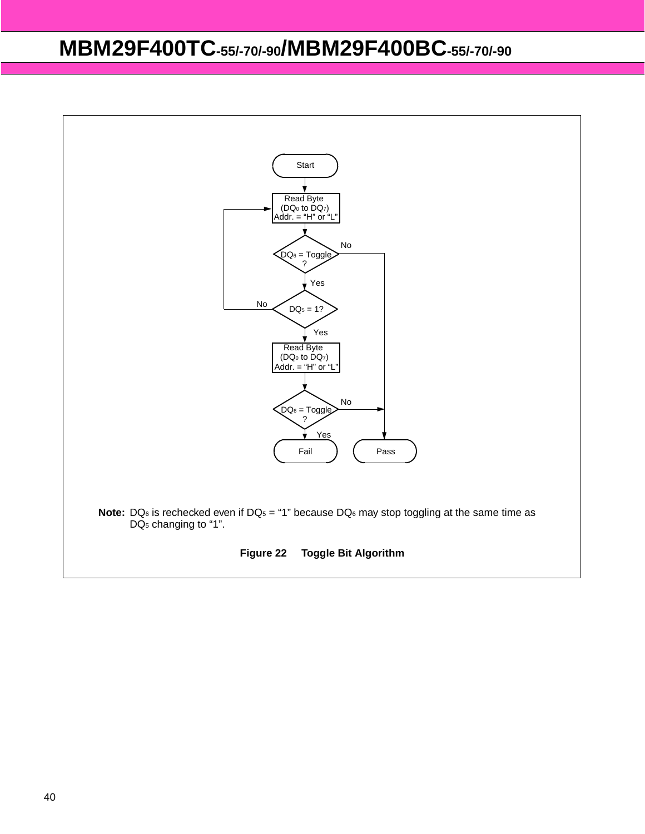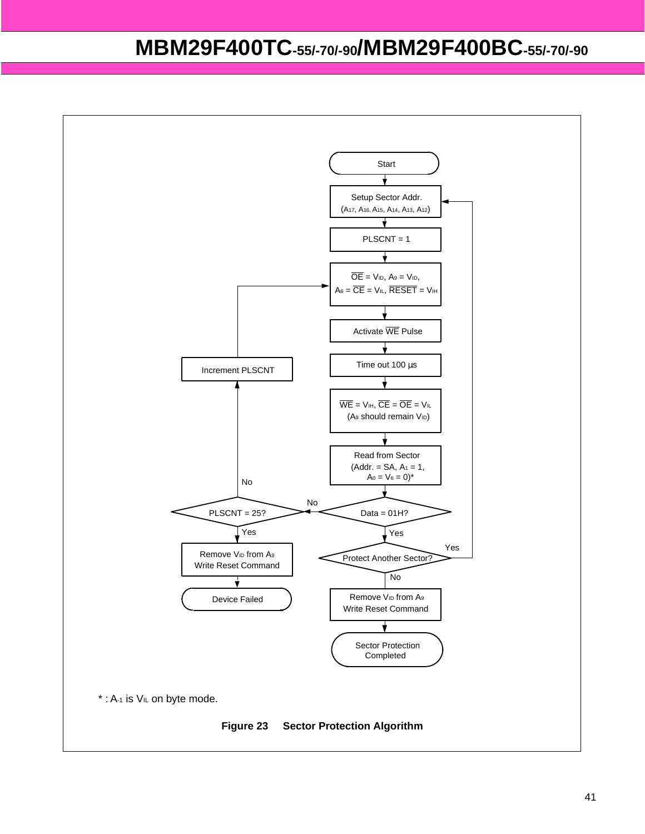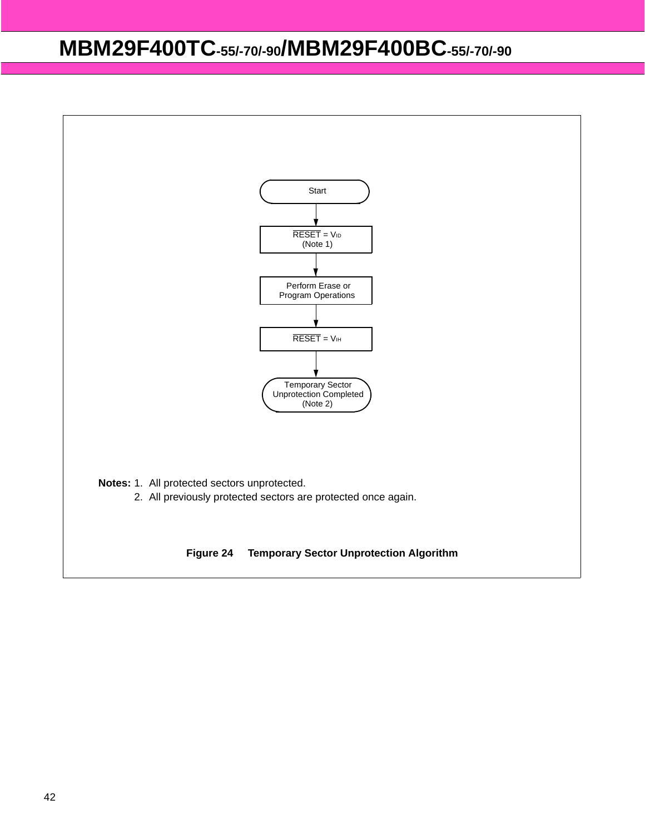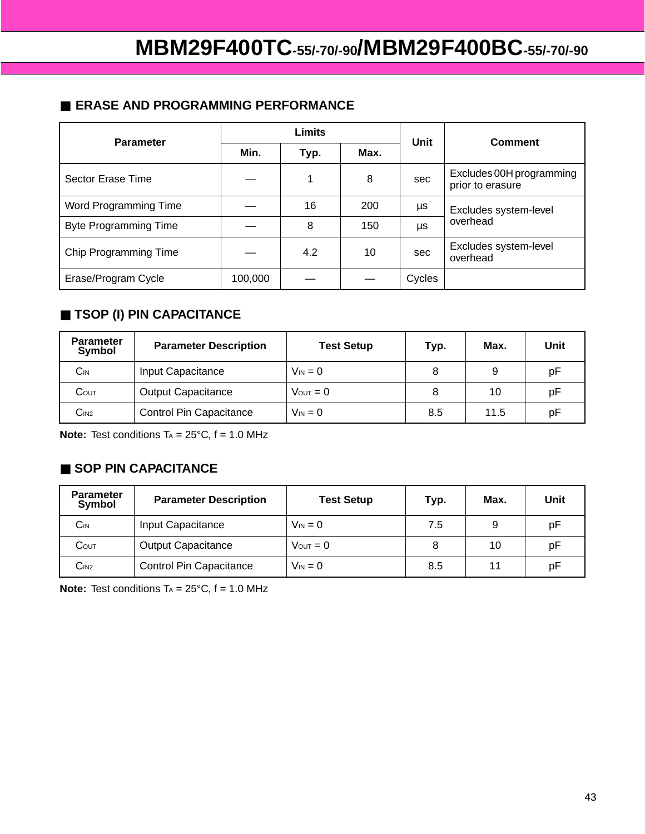### ■ **ERASE AND PROGRAMMING PERFORMANCE**

| <b>Parameter</b>             | <b>Limits</b> |      |      | Unit   | <b>Comment</b>                               |  |
|------------------------------|---------------|------|------|--------|----------------------------------------------|--|
|                              | Min.          | Typ. | Max. |        |                                              |  |
| Sector Erase Time            |               |      | 8    | sec    | Excludes 00H programming<br>prior to erasure |  |
| Word Programming Time        |               | 16   | 200  | μs     | Excludes system-level                        |  |
| <b>Byte Programming Time</b> |               | 8    | 150  | μs     | overhead                                     |  |
| Chip Programming Time        |               | 4.2  | 10   | sec    | Excludes system-level<br>overhead            |  |
| Erase/Program Cycle          | 100,000       |      |      | Cycles |                                              |  |

### ■ **TSOP (I) PIN CAPACITANCE**

| <b>Parameter</b><br>Symbol | <b>Parameter Description</b>   | <b>Test Setup</b>    | Typ. | Max. | Unit |
|----------------------------|--------------------------------|----------------------|------|------|------|
| $\mathsf{C}_{\mathsf{IN}}$ | Input Capacitance              | $V_{IN} = 0$         |      | 9    | рF   |
| $C$ out                    | <b>Output Capacitance</b>      | $V_{\text{OUT}} = 0$ |      | 10   | рF   |
| C <sub>IN2</sub>           | <b>Control Pin Capacitance</b> | $V_{\text{IN}} = 0$  | 8.5  | 11.5 | рF   |

**Note:** Test conditions  $T_A = 25^{\circ}C$ ,  $f = 1.0$  MHz

### ■ **SOP PIN CAPACITANCE**

| <b>Parameter</b><br>Symbol | <b>Parameter Description</b>   | <b>Test Setup</b>    | Typ. | Max. | Unit |
|----------------------------|--------------------------------|----------------------|------|------|------|
| $C_{IN}$                   | Input Capacitance              | $V_{IN} = 0$         | 7.5  | 9    | рF   |
| $C$ out                    | <b>Output Capacitance</b>      | $V_{\text{OUT}} = 0$ |      | 10   | рF   |
| C <sub>IN2</sub>           | <b>Control Pin Capacitance</b> | $V_{IN} = 0$         | 8.5  | 11   | рF   |

**Note:** Test conditions  $TA = 25^{\circ}C$ ,  $f = 1.0$  MHz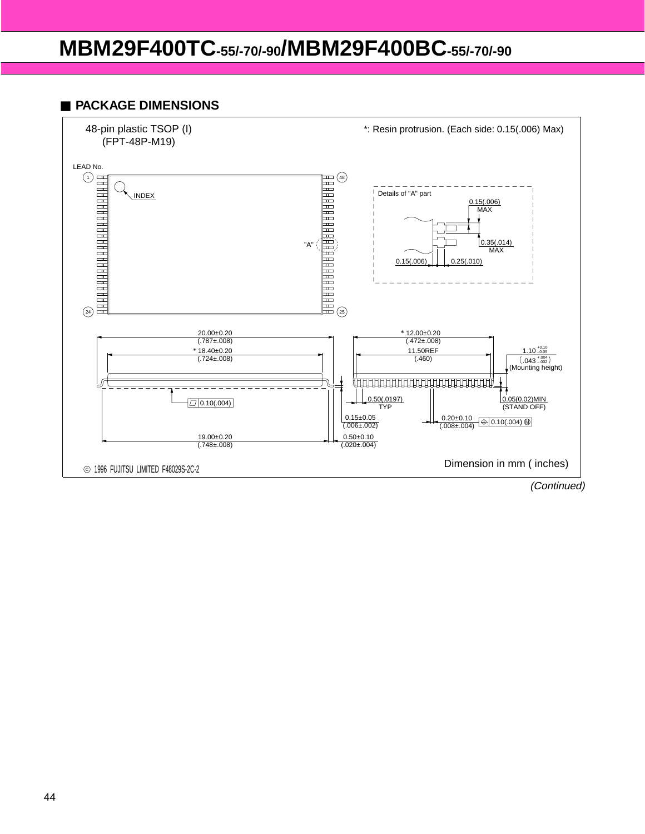#### ■ **PACKAGE DIMENSIONS**

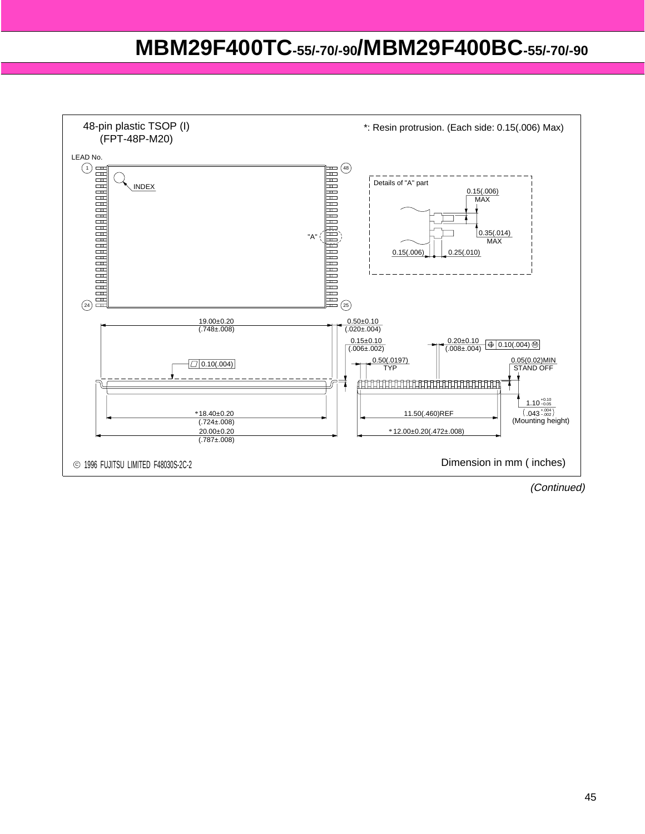

(Continued)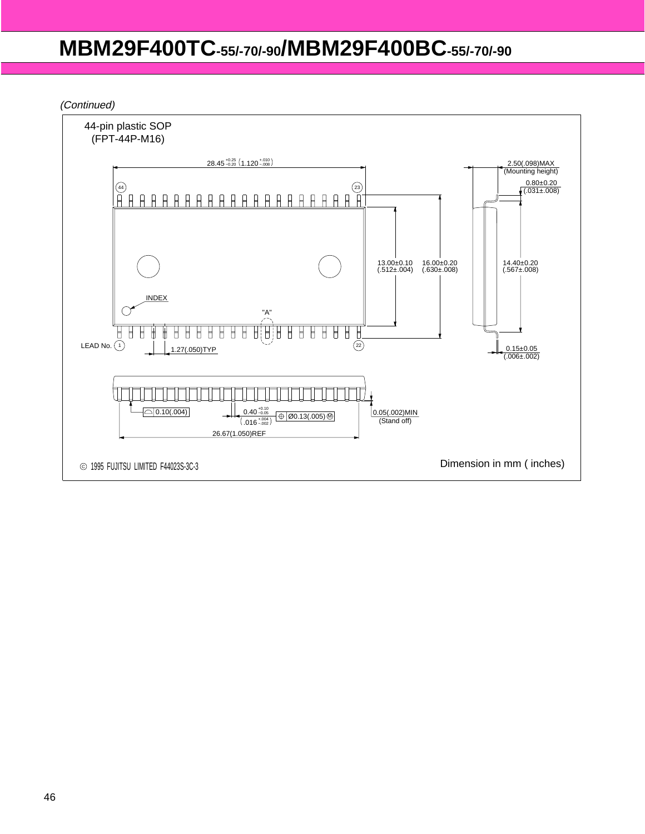(Continued)